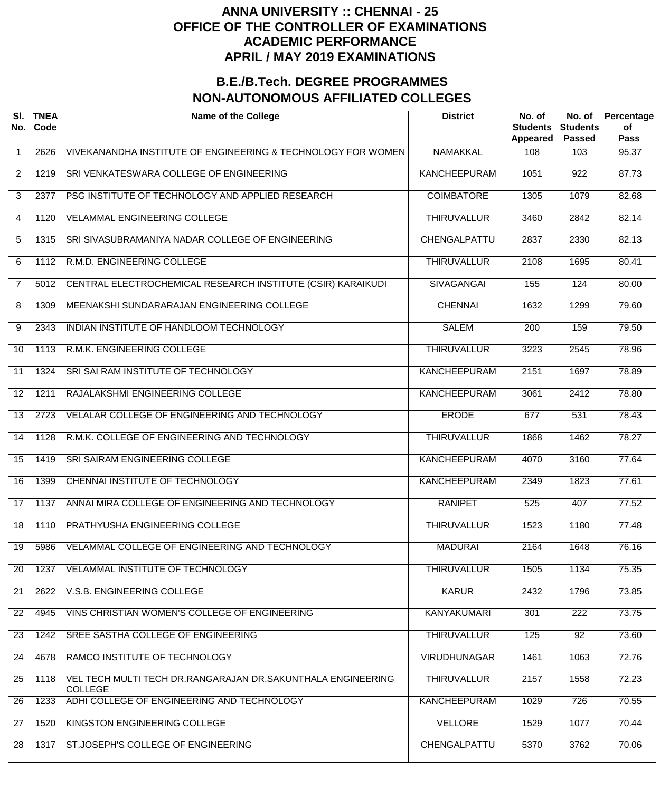| SI.<br>No.      | <b>TNEA</b><br>Code | <b>Name of the College</b>                                                    | <b>District</b>     | No. of<br><b>Students</b><br><b>Appeared</b> | No. of<br><b>Students</b><br><b>Passed</b> | Percentage<br>of<br><b>Pass</b> |
|-----------------|---------------------|-------------------------------------------------------------------------------|---------------------|----------------------------------------------|--------------------------------------------|---------------------------------|
| $\mathbf 1$     | 2626                | VIVEKANANDHA INSTITUTE OF ENGINEERING & TECHNOLOGY FOR WOMEN                  | <b>NAMAKKAL</b>     | 108                                          | 103                                        | 95.37                           |
| $\overline{2}$  | 1219                | SRI VENKATESWARA COLLEGE OF ENGINEERING                                       | <b>KANCHEEPURAM</b> | 1051                                         | $\overline{922}$                           | 87.73                           |
| 3               | 2377                | PSG INSTITUTE OF TECHNOLOGY AND APPLIED RESEARCH                              | <b>COIMBATORE</b>   | 1305                                         | 1079                                       | 82.68                           |
| 4               | 1120                | <b>VELAMMAL ENGINEERING COLLEGE</b>                                           | <b>THIRUVALLUR</b>  | 3460                                         | 2842                                       | 82.14                           |
| 5               | 1315                | SRI SIVASUBRAMANIYA NADAR COLLEGE OF ENGINEERING                              | CHENGALPATTU        | 2837                                         | 2330                                       | 82.13                           |
| 6               | 1112                | R.M.D. ENGINEERING COLLEGE                                                    | <b>THIRUVALLUR</b>  | 2108                                         | 1695                                       | 80.41                           |
| $\overline{7}$  | 5012                | CENTRAL ELECTROCHEMICAL RESEARCH INSTITUTE (CSIR) KARAIKUDI                   | <b>SIVAGANGAI</b>   | 155                                          | 124                                        | 80.00                           |
| 8               | 1309                | MEENAKSHI SUNDARARAJAN ENGINEERING COLLEGE                                    | <b>CHENNAI</b>      | 1632                                         | 1299                                       | 79.60                           |
| 9               | 2343                | INDIAN INSTITUTE OF HANDLOOM TECHNOLOGY                                       | <b>SALEM</b>        | 200                                          | 159                                        | 79.50                           |
| 10              | 1113                | R.M.K. ENGINEERING COLLEGE                                                    | <b>THIRUVALLUR</b>  | 3223                                         | 2545                                       | 78.96                           |
| 11              | 1324                | SRI SAI RAM INSTITUTE OF TECHNOLOGY                                           | <b>KANCHEEPURAM</b> | 2151                                         | 1697                                       | 78.89                           |
| 12              | 1211                | RAJALAKSHMI ENGINEERING COLLEGE                                               | <b>KANCHEEPURAM</b> | 3061                                         | 2412                                       | 78.80                           |
| 13              | 2723                | VELALAR COLLEGE OF ENGINEERING AND TECHNOLOGY                                 | <b>ERODE</b>        | 677                                          | 531                                        | 78.43                           |
| 14              | 1128                | R.M.K. COLLEGE OF ENGINEERING AND TECHNOLOGY                                  | <b>THIRUVALLUR</b>  | 1868                                         | 1462                                       | 78.27                           |
| 15              | 1419                | SRI SAIRAM ENGINEERING COLLEGE                                                | <b>KANCHEEPURAM</b> | 4070                                         | 3160                                       | 77.64                           |
| $\overline{16}$ | 1399                | <b>CHENNAI INSTITUTE OF TECHNOLOGY</b>                                        | <b>KANCHEEPURAM</b> | 2349                                         | 1823                                       | 77.61                           |
| $\overline{17}$ | 1137                | ANNAI MIRA COLLEGE OF ENGINEERING AND TECHNOLOGY                              | <b>RANIPET</b>      | 525                                          | 407                                        | 77.52                           |
| $\overline{18}$ | 1110                | PRATHYUSHA ENGINEERING COLLEGE                                                | <b>THIRUVALLUR</b>  | 1523                                         | 1180                                       | 77.48                           |
| 19              | 5986                | VELAMMAL COLLEGE OF ENGINEERING AND TECHNOLOGY                                | <b>MADURAI</b>      | 2164                                         | 1648                                       | 76.16                           |
| 20              | 1237                | <b>VELAMMAL INSTITUTE OF TECHNOLOGY</b>                                       | <b>THIRUVALLUR</b>  | 1505                                         | 1134                                       | 75.35                           |
| 21              | 2622                | V.S.B. ENGINEERING COLLEGE                                                    | <b>KARUR</b>        | 2432                                         | 1796                                       | 73.85                           |
| 22              | 4945                | VINS CHRISTIAN WOMEN'S COLLEGE OF ENGINEERING                                 | <b>KANYAKUMARI</b>  | 301                                          | $\overline{222}$                           | 73.75                           |
| 23              | 1242                | SREE SASTHA COLLEGE OF ENGINEERING                                            | <b>THIRUVALLUR</b>  | 125                                          | $\overline{92}$                            | 73.60                           |
| 24              | 4678                | RAMCO INSTITUTE OF TECHNOLOGY                                                 | <b>VIRUDHUNAGAR</b> | 1461                                         | $\overline{1063}$                          | 72.76                           |
| 25              | 1118                | VEL TECH MULTI TECH DR.RANGARAJAN DR.SAKUNTHALA ENGINEERING<br><b>COLLEGE</b> | <b>THIRUVALLUR</b>  | 2157                                         | 1558                                       | 72.23                           |
| 26              | 1233                | ADHI COLLEGE OF ENGINEERING AND TECHNOLOGY                                    | <b>KANCHEEPURAM</b> | 1029                                         | 726                                        | 70.55                           |
| 27              | 1520                | KINGSTON ENGINEERING COLLEGE                                                  | <b>VELLORE</b>      | 1529                                         | 1077                                       | 70.44                           |
| 28              | 1317                | ST.JOSEPH'S COLLEGE OF ENGINEERING                                            | CHENGALPATTU        | 5370                                         | $\frac{1}{3762}$                           | 70.06                           |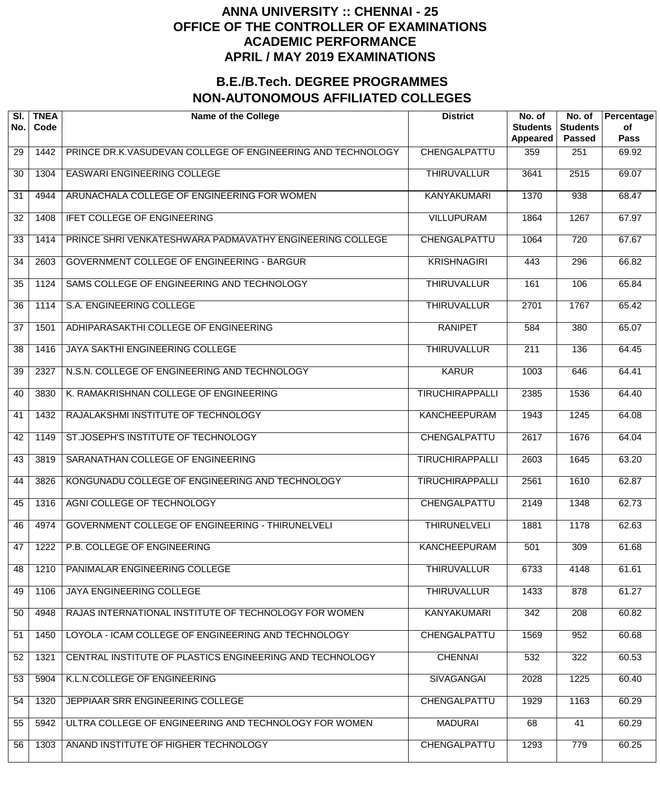| SI.<br>No. | <b>TNEA</b><br>Code | <b>Name of the College</b>                                  | <b>District</b>        | No. of<br><b>Students</b><br>Appeared | No. of<br><b>Students</b><br><b>Passed</b> | Percentage<br>of<br><b>Pass</b> |
|------------|---------------------|-------------------------------------------------------------|------------------------|---------------------------------------|--------------------------------------------|---------------------------------|
| 29         | 1442                | PRINCE DR.K.VASUDEVAN COLLEGE OF ENGINEERING AND TECHNOLOGY | CHENGALPATTU           | 359                                   | 251                                        | 69.92                           |
| 30         | 1304                | <b>EASWARI ENGINEERING COLLEGE</b>                          | <b>THIRUVALLUR</b>     | 3641                                  | 2515                                       | 69.07                           |
| 31         | 4944                | ARUNACHALA COLLEGE OF ENGINEERING FOR WOMEN                 | <b>KANYAKUMARI</b>     | 1370                                  | 938                                        | 68.47                           |
| 32         | 1408                | <b>IFET COLLEGE OF ENGINEERING</b>                          | <b>VILLUPURAM</b>      | 1864                                  | 1267                                       | 67.97                           |
| 33         | 1414                | PRINCE SHRI VENKATESHWARA PADMAVATHY ENGINEERING COLLEGE    | CHENGALPATTU           | 1064                                  | $\overline{720}$                           | 67.67                           |
| 34         | 2603                | <b>GOVERNMENT COLLEGE OF ENGINEERING - BARGUR</b>           | <b>KRISHNAGIRI</b>     | 443                                   | 296                                        | 66.82                           |
| 35         | 1124                | SAMS COLLEGE OF ENGINEERING AND TECHNOLOGY                  | <b>THIRUVALLUR</b>     | 161                                   | 106                                        | 65.84                           |
| 36         | 1114                | S.A. ENGINEERING COLLEGE                                    | <b>THIRUVALLUR</b>     | 2701                                  | 1767                                       | 65.42                           |
| 37         | 1501                | ADHIPARASAKTHI COLLEGE OF ENGINEERING                       | <b>RANIPET</b>         | 584                                   | 380                                        | 65.07                           |
| 38         | 1416                | <b>JAYA SAKTHI ENGINEERING COLLEGE</b>                      | <b>THIRUVALLUR</b>     | $\overline{211}$                      | 136                                        | 64.45                           |
| 39         | 2327                | N.S.N. COLLEGE OF ENGINEERING AND TECHNOLOGY                | <b>KARUR</b>           | 1003                                  | 646                                        | 64.41                           |
| 40         | 3830                | K. RAMAKRISHNAN COLLEGE OF ENGINEERING                      | <b>TIRUCHIRAPPALLI</b> | 2385                                  | 1536                                       | 64.40                           |
| 41         | 1432                | RAJALAKSHMI INSTITUTE OF TECHNOLOGY                         | <b>KANCHEEPURAM</b>    | 1943                                  | 1245                                       | 64.08                           |
| 42         | 1149                | ST.JOSEPH'S INSTITUTE OF TECHNOLOGY                         | CHENGALPATTU           | 2617                                  | 1676                                       | 64.04                           |
| 43         | 3819                | SARANATHAN COLLEGE OF ENGINEERING                           | <b>TIRUCHIRAPPALLI</b> | 2603                                  | 1645                                       | 63.20                           |
| 44         | 3826                | KONGUNADU COLLEGE OF ENGINEERING AND TECHNOLOGY             | <b>TIRUCHIRAPPALLI</b> | 2561                                  | 1610                                       | 62.87                           |
| 45         | 1316                | AGNI COLLEGE OF TECHNOLOGY                                  | CHENGALPATTU           | 2149                                  | 1348                                       | 62.73                           |
| 46         | 4974                | <b>GOVERNMENT COLLEGE OF ENGINEERING - THIRUNELVELI</b>     | <b>THIRUNELVELI</b>    | 1881                                  | 1178                                       | 62.63                           |
| 47         | 1222                | P.B. COLLEGE OF ENGINEERING                                 | <b>KANCHEEPURAM</b>    | 501                                   | 309                                        | 61.68                           |
| 48         | 1210                | PANIMALAR ENGINEERING COLLEGE                               | <b>THIRUVALLUR</b>     | 6733                                  | 4148                                       | 61.61                           |
| 49         | 1106                | JAYA ENGINEERING COLLEGE                                    | <b>THIRUVALLUR</b>     | 1433                                  | 878                                        | 61.27                           |
| 50         | 4948                | RAJAS INTERNATIONAL INSTITUTE OF TECHNOLOGY FOR WOMEN       | <b>KANYAKUMARI</b>     | 342                                   | $\overline{208}$                           | 60.82                           |
| 51         | 1450                | LOYOLA - ICAM COLLEGE OF ENGINEERING AND TECHNOLOGY         | CHENGALPATTU           | 1569                                  | 952                                        | 60.68                           |
| 52         | 1321                | CENTRAL INSTITUTE OF PLASTICS ENGINEERING AND TECHNOLOGY    | <b>CHENNAI</b>         | 532                                   | 322                                        | 60.53                           |
| 53         | 5904                | K.L.N.COLLEGE OF ENGINEERING                                | <b>SIVAGANGAI</b>      | 2028                                  | 1225                                       | 60.40                           |
| 54         | 1320                | JEPPIAAR SRR ENGINEERING COLLEGE                            | CHENGALPATTU           | 1929                                  | 1163                                       | 60.29                           |
| 55         | 5942                | ULTRA COLLEGE OF ENGINEERING AND TECHNOLOGY FOR WOMEN       | <b>MADURAI</b>         | 68                                    | 41                                         | 60.29                           |
| 56         | 1303                | ANAND INSTITUTE OF HIGHER TECHNOLOGY                        | CHENGALPATTU           | 1293                                  | 779                                        | 60.25                           |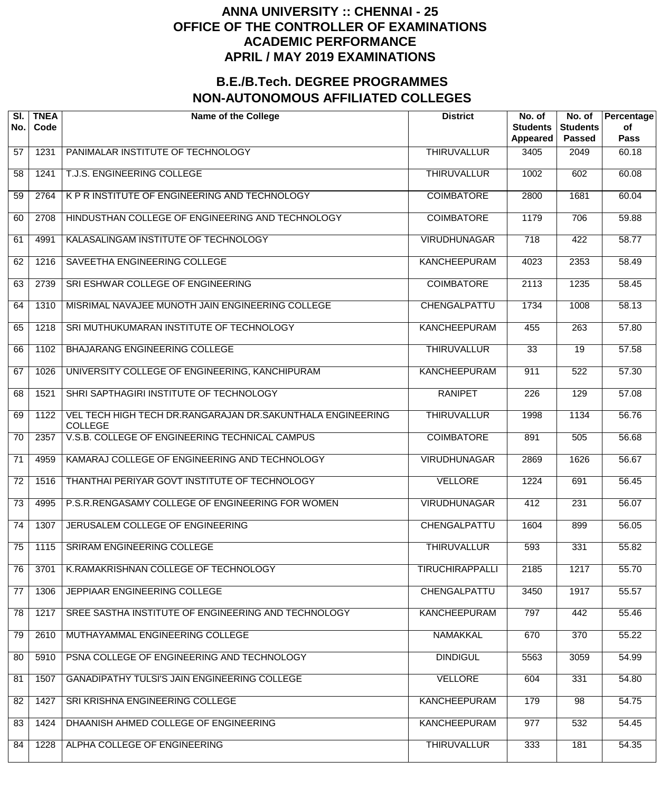| SI.<br>No.      | <b>TNEA</b><br>Code | <b>Name of the College</b>                                                   | <b>District</b>        | No. of<br><b>Students</b><br>Appeared | No. of<br><b>Students</b><br><b>Passed</b> | Percentage<br>of<br><b>Pass</b> |
|-----------------|---------------------|------------------------------------------------------------------------------|------------------------|---------------------------------------|--------------------------------------------|---------------------------------|
| 57              | 1231                | PANIMALAR INSTITUTE OF TECHNOLOGY                                            | <b>THIRUVALLUR</b>     | 3405                                  | 2049                                       | 60.18                           |
| 58              | 1241                | T.J.S. ENGINEERING COLLEGE                                                   | <b>THIRUVALLUR</b>     | 1002                                  | 602                                        | 60.08                           |
| 59              | 2764                | K P R INSTITUTE OF ENGINEERING AND TECHNOLOGY                                | <b>COIMBATORE</b>      | 2800                                  | 1681                                       | 60.04                           |
| 60              | 2708                | HINDUSTHAN COLLEGE OF ENGINEERING AND TECHNOLOGY                             | <b>COIMBATORE</b>      | 1179                                  | 706                                        | 59.88                           |
| 61              | 4991                | KALASALINGAM INSTITUTE OF TECHNOLOGY                                         | <b>VIRUDHUNAGAR</b>    | $\overline{718}$                      | 422                                        | 58.77                           |
| 62              | 1216                | SAVEETHA ENGINEERING COLLEGE                                                 | <b>KANCHEEPURAM</b>    | 4023                                  | 2353                                       | 58.49                           |
| 63              | 2739                | SRI ESHWAR COLLEGE OF ENGINEERING                                            | <b>COIMBATORE</b>      | 2113                                  | 1235                                       | 58.45                           |
| 64              | 1310                | MISRIMAL NAVAJEE MUNOTH JAIN ENGINEERING COLLEGE                             | CHENGALPATTU           | 1734                                  | 1008                                       | 58.13                           |
| 65              | 1218                | SRI MUTHUKUMARAN INSTITUTE OF TECHNOLOGY                                     | <b>KANCHEEPURAM</b>    | 455                                   | $\overline{263}$                           | 57.80                           |
| 66              | 1102                | BHAJARANG ENGINEERING COLLEGE                                                | <b>THIRUVALLUR</b>     | 33                                    | 19                                         | 57.58                           |
| 67              | 1026                | UNIVERSITY COLLEGE OF ENGINEERING, KANCHIPURAM                               | KANCHEEPURAM           | 911                                   | $\overline{522}$                           | 57.30                           |
| 68              | 1521                | SHRI SAPTHAGIRI INSTITUTE OF TECHNOLOGY                                      | <b>RANIPET</b>         | 226                                   | 129                                        | 57.08                           |
| 69              | 1122                | VEL TECH HIGH TECH DR.RANGARAJAN DR.SAKUNTHALA ENGINEERING<br><b>COLLEGE</b> | <b>THIRUVALLUR</b>     | 1998                                  | 1134                                       | 56.76                           |
| 70              | 2357                | V.S.B. COLLEGE OF ENGINEERING TECHNICAL CAMPUS                               | <b>COIMBATORE</b>      | 891                                   | 505                                        | 56.68                           |
| 71              | 4959                | KAMARAJ COLLEGE OF ENGINEERING AND TECHNOLOGY                                | <b>VIRUDHUNAGAR</b>    | 2869                                  | 1626                                       | 56.67                           |
| 72              | 1516                | THANTHAI PERIYAR GOVT INSTITUTE OF TECHNOLOGY                                | <b>VELLORE</b>         | 1224                                  | 691                                        | 56.45                           |
| $\overline{73}$ | 4995                | P.S.R.RENGASAMY COLLEGE OF ENGINEERING FOR WOMEN                             | <b>VIRUDHUNAGAR</b>    | 412                                   | 231                                        | 56.07                           |
| $\overline{74}$ | 1307                | JERUSALEM COLLEGE OF ENGINEERING                                             | CHENGALPATTU           | 1604                                  | 899                                        | 56.05                           |
| 75              | 1115                | <b>SRIRAM ENGINEERING COLLEGE</b>                                            | <b>THIRUVALLUR</b>     | 593                                   | 331                                        | 55.82                           |
| 76              | 3701                | K.RAMAKRISHNAN COLLEGE OF TECHNOLOGY                                         | <b>TIRUCHIRAPPALLI</b> | 2185                                  | $\overline{1217}$                          | 55.70                           |
| 77              | 1306                | JEPPIAAR ENGINEERING COLLEGE                                                 | <b>CHENGALPATTU</b>    | 3450                                  | 1917                                       | 55.57                           |
| 78              | 1217                | SREE SASTHA INSTITUTE OF ENGINEERING AND TECHNOLOGY                          | <b>KANCHEEPURAM</b>    | 797                                   | 442                                        | 55.46                           |
| 79              | 2610                | MUTHAYAMMAL ENGINEERING COLLEGE                                              | <b>NAMAKKAL</b>        | 670                                   | $\overline{370}$                           | 55.22                           |
| 80              | 5910                | PSNA COLLEGE OF ENGINEERING AND TECHNOLOGY                                   | <b>DINDIGUL</b>        | 5563                                  | $\frac{1}{3059}$                           | 54.99                           |
| 81              | 1507                | <b>GANADIPATHY TULSI'S JAIN ENGINEERING COLLEGE</b>                          | <b>VELLORE</b>         | 604                                   | 331                                        | 54.80                           |
| 82              | 1427                | SRI KRISHNA ENGINEERING COLLEGE                                              | <b>KANCHEEPURAM</b>    | 179                                   | 98                                         | 54.75                           |
| 83              | 1424                | DHAANISH AHMED COLLEGE OF ENGINEERING                                        | <b>KANCHEEPURAM</b>    | 977                                   | 532                                        | 54.45                           |
| 84              | 1228                | ALPHA COLLEGE OF ENGINEERING                                                 | <b>THIRUVALLUR</b>     | 333                                   | 181                                        | 54.35                           |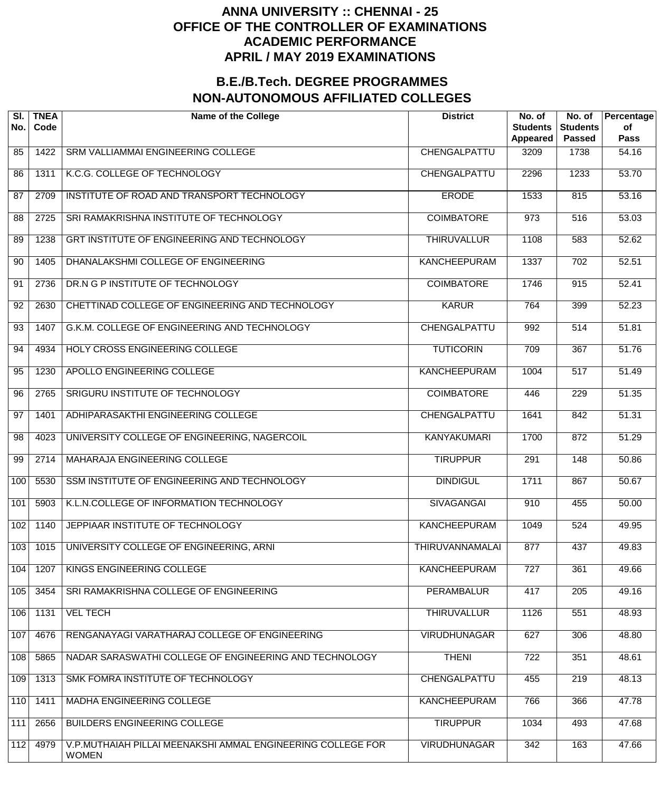| SI.<br>No. | <b>TNEA</b><br>Code | <b>Name of the College</b>                                                  | <b>District</b>        | No. of<br><b>Students</b><br>Appeared | No. of<br><b>Students</b><br><b>Passed</b> | Percentage<br>of<br><b>Pass</b> |
|------------|---------------------|-----------------------------------------------------------------------------|------------------------|---------------------------------------|--------------------------------------------|---------------------------------|
| 85         | 1422                | SRM VALLIAMMAI ENGINEERING COLLEGE                                          | CHENGALPATTU           | 3209                                  | 1738                                       | 54.16                           |
| 86         | 1311                | K.C.G. COLLEGE OF TECHNOLOGY                                                | CHENGALPATTU           | 2296                                  | 1233                                       | 53.70                           |
| 87         | 2709                | INSTITUTE OF ROAD AND TRANSPORT TECHNOLOGY                                  | <b>ERODE</b>           | 1533                                  | 815                                        | 53.16                           |
| 88         | 2725                | SRI RAMAKRISHNA INSTITUTE OF TECHNOLOGY                                     | <b>COIMBATORE</b>      | 973                                   | $\overline{516}$                           | 53.03                           |
| 89         | 1238                | GRT INSTITUTE OF ENGINEERING AND TECHNOLOGY                                 | <b>THIRUVALLUR</b>     | 1108                                  | 583                                        | $\overline{52.62}$              |
| 90         | 1405                | DHANALAKSHMI COLLEGE OF ENGINEERING                                         | <b>KANCHEEPURAM</b>    | 1337                                  | $\overline{702}$                           | 52.51                           |
| 91         | 2736                | DR.N G P INSTITUTE OF TECHNOLOGY                                            | <b>COIMBATORE</b>      | 1746                                  | 915                                        | $\overline{52.41}$              |
| 92         | 2630                | CHETTINAD COLLEGE OF ENGINEERING AND TECHNOLOGY                             | <b>KARUR</b>           | 764                                   | 399                                        | 52.23                           |
| 93         | 1407                | G.K.M. COLLEGE OF ENGINEERING AND TECHNOLOGY                                | CHENGALPATTU           | 992                                   | $\overline{514}$                           | 51.81                           |
| 94         | 4934                | HOLY CROSS ENGINEERING COLLEGE                                              | <b>TUTICORIN</b>       | 709                                   | $\overline{367}$                           | 51.76                           |
| 95         | 1230                | APOLLO ENGINEERING COLLEGE                                                  | <b>KANCHEEPURAM</b>    | 1004                                  | $\overline{517}$                           | $\frac{1}{51.49}$               |
| 96         | 2765                | SRIGURU INSTITUTE OF TECHNOLOGY                                             | <b>COIMBATORE</b>      | 446                                   | 229                                        | 51.35                           |
| 97         | 1401                | ADHIPARASAKTHI ENGINEERING COLLEGE                                          | CHENGALPATTU           | 1641                                  | 842                                        | 51.31                           |
| 98         | 4023                | UNIVERSITY COLLEGE OF ENGINEERING, NAGERCOIL                                | <b>KANYAKUMARI</b>     | 1700                                  | 872                                        | 51.29                           |
| 99         | 2714                | MAHARAJA ENGINEERING COLLEGE                                                | <b>TIRUPPUR</b>        | $\overline{291}$                      | 148                                        | 50.86                           |
| 100        | 5530                | SSM INSTITUTE OF ENGINEERING AND TECHNOLOGY                                 | <b>DINDIGUL</b>        | 1711                                  | 867                                        | 50.67                           |
| 101        | 5903                | K.L.N.COLLEGE OF INFORMATION TECHNOLOGY                                     | <b>SIVAGANGAI</b>      | 910                                   | 455                                        | 50.00                           |
| 102        | 1140                | JEPPIAAR INSTITUTE OF TECHNOLOGY                                            | <b>KANCHEEPURAM</b>    | 1049                                  | 524                                        | 49.95                           |
| 103        | 1015                | UNIVERSITY COLLEGE OF ENGINEERING, ARNI                                     | <b>THIRUVANNAMALAI</b> | 877                                   | 437                                        | 49.83                           |
| 104        | 1207                | KINGS ENGINEERING COLLEGE                                                   | <b>KANCHEEPURAM</b>    | $\overline{727}$                      | 361                                        | 49.66                           |
| 105        | 3454                | SRI RAMAKRISHNA COLLEGE OF ENGINEERING                                      | <b>PERAMBALUR</b>      | 417                                   | $\overline{205}$                           | 49.16                           |
| 106        | 1131                | <b>VEL TECH</b>                                                             | <b>THIRUVALLUR</b>     | 1126                                  | 551                                        | 48.93                           |
| 107        | 4676                | RENGANAYAGI VARATHARAJ COLLEGE OF ENGINEERING                               | <b>VIRUDHUNAGAR</b>    | 627                                   | 306                                        | 48.80                           |
| 108        | 5865                | NADAR SARASWATHI COLLEGE OF ENGINEERING AND TECHNOLOGY                      | <b>THENI</b>           | 722                                   | 351                                        | 48.61                           |
| 109        | 1313                | SMK FOMRA INSTITUTE OF TECHNOLOGY                                           | CHENGALPATTU           | 455                                   | 219                                        | 48.13                           |
| 110        | 1411                | MADHA ENGINEERING COLLEGE                                                   | <b>KANCHEEPURAM</b>    | 766                                   | 366                                        | 47.78                           |
| 111        | 2656                | <b>BUILDERS ENGINEERING COLLEGE</b>                                         | <b>TIRUPPUR</b>        | 1034                                  | 493                                        | 47.68                           |
| 112        | 4979                | V.P.MUTHAIAH PILLAI MEENAKSHI AMMAL ENGINEERING COLLEGE FOR<br><b>WOMEN</b> | <b>VIRUDHUNAGAR</b>    | 342                                   | 163                                        | 47.66                           |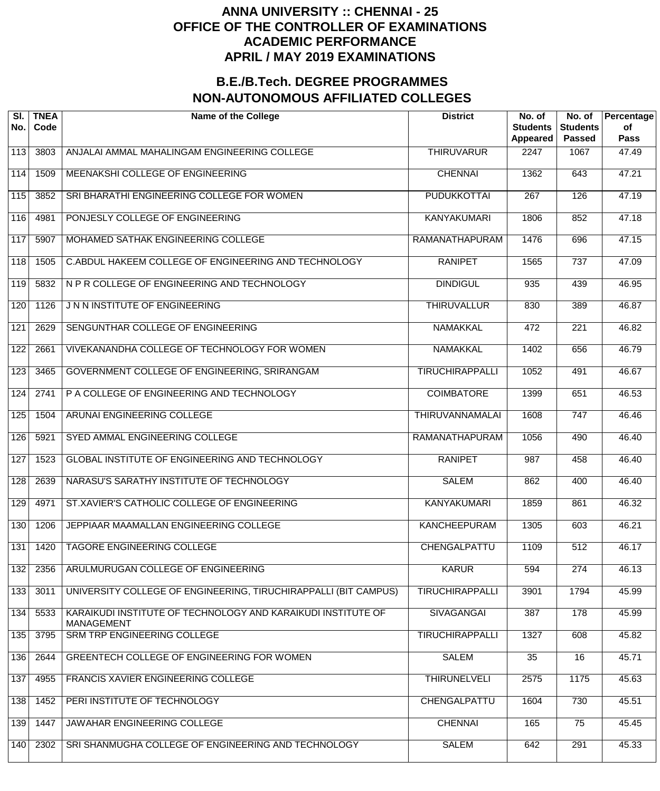| SI.<br>No. | <b>TNEA</b><br>Code | <b>Name of the College</b>                                                        | <b>District</b>        | No. of<br><b>Students</b><br>Appeared | No. of<br><b>Students</b><br><b>Passed</b> | Percentage<br>of<br><b>Pass</b> |
|------------|---------------------|-----------------------------------------------------------------------------------|------------------------|---------------------------------------|--------------------------------------------|---------------------------------|
| 113        | 3803                | ANJALAI AMMAL MAHALINGAM ENGINEERING COLLEGE                                      | <b>THIRUVARUR</b>      | 2247                                  | 1067                                       | 47.49                           |
| 114        | 1509                | MEENAKSHI COLLEGE OF ENGINEERING                                                  | <b>CHENNAI</b>         | 1362                                  | 643                                        | 47.21                           |
| 115        | 3852                | SRI BHARATHI ENGINEERING COLLEGE FOR WOMEN                                        | <b>PUDUKKOTTAI</b>     | $\overline{267}$                      | 126                                        | 47.19                           |
| 116        | 4981                | PONJESLY COLLEGE OF ENGINEERING                                                   | <b>KANYAKUMARI</b>     | 1806                                  | 852                                        | 47.18                           |
| 117        | 5907                | MOHAMED SATHAK ENGINEERING COLLEGE                                                | <b>RAMANATHAPURAM</b>  | 1476                                  | 696                                        | 47.15                           |
| 118        | 1505                | C.ABDUL HAKEEM COLLEGE OF ENGINEERING AND TECHNOLOGY                              | <b>RANIPET</b>         | 1565                                  | $\overline{737}$                           | 47.09                           |
| 119        | 5832                | N P R COLLEGE OF ENGINEERING AND TECHNOLOGY                                       | <b>DINDIGUL</b>        | 935                                   | 439                                        | 46.95                           |
| 120        | 1126                | J N N INSTITUTE OF ENGINEERING                                                    | <b>THIRUVALLUR</b>     | 830                                   | 389                                        | 46.87                           |
| 121        | 2629                | SENGUNTHAR COLLEGE OF ENGINEERING                                                 | <b>NAMAKKAL</b>        | 472                                   | $\overline{221}$                           | 46.82                           |
| 122        | 2661                | VIVEKANANDHA COLLEGE OF TECHNOLOGY FOR WOMEN                                      | <b>NAMAKKAL</b>        | 1402                                  | 656                                        | 46.79                           |
| 123        | 3465                | GOVERNMENT COLLEGE OF ENGINEERING, SRIRANGAM                                      | <b>TIRUCHIRAPPALLI</b> | 1052                                  | 491                                        | 46.67                           |
| 124        | 2741                | P A COLLEGE OF ENGINEERING AND TECHNOLOGY                                         | <b>COIMBATORE</b>      | 1399                                  | 651                                        | 46.53                           |
| 125        | 1504                | ARUNAI ENGINEERING COLLEGE                                                        | THIRUVANNAMALAI        | 1608                                  | 747                                        | 46.46                           |
| 126        | 5921                | SYED AMMAL ENGINEERING COLLEGE                                                    | RAMANATHAPURAM         | 1056                                  | 490                                        | 46.40                           |
| 127        | 1523                | <b>GLOBAL INSTITUTE OF ENGINEERING AND TECHNOLOGY</b>                             | <b>RANIPET</b>         | 987                                   | 458                                        | $\frac{1}{46.40}$               |
| 128        | 2639                | NARASU'S SARATHY INSTITUTE OF TECHNOLOGY                                          | <b>SALEM</b>           | 862                                   | 400                                        | 46.40                           |
| 129        | 4971                | ST.XAVIER'S CATHOLIC COLLEGE OF ENGINEERING                                       | <b>KANYAKUMARI</b>     | 1859                                  | 861                                        | 46.32                           |
| 130        | 1206                | JEPPIAAR MAAMALLAN ENGINEERING COLLEGE                                            | <b>KANCHEEPURAM</b>    | 1305                                  | 603                                        | 46.21                           |
| 131        | 1420                | TAGORE ENGINEERING COLLEGE                                                        | CHENGALPATTU           | 1109                                  | 512                                        | 46.17                           |
| 132        | 2356                | ARULMURUGAN COLLEGE OF ENGINEERING                                                | <b>KARUR</b>           | 594                                   | 274                                        | 46.13                           |
| 133        | 3011                | UNIVERSITY COLLEGE OF ENGINEERING, TIRUCHIRAPPALLI (BIT CAMPUS)                   | <b>TIRUCHIRAPPALLI</b> | 3901                                  | 1794                                       | 45.99                           |
| 134        | 5533                | KARAIKUDI INSTITUTE OF TECHNOLOGY AND KARAIKUDI INSTITUTE OF<br><b>MANAGEMENT</b> | <b>SIVAGANGAI</b>      | 387                                   | 178                                        | 45.99                           |
| 135        | 3795                | <b>SRM TRP ENGINEERING COLLEGE</b>                                                | <b>TIRUCHIRAPPALLI</b> | 1327                                  | 608                                        | 45.82                           |
| 136        | 2644                | GREENTECH COLLEGE OF ENGINEERING FOR WOMEN                                        | <b>SALEM</b>           | 35                                    | $\overline{16}$                            | 45.71                           |
| 137        | 4955                | FRANCIS XAVIER ENGINEERING COLLEGE                                                | <b>THIRUNELVELI</b>    | 2575                                  | 1175                                       | 45.63                           |
| 138        | 1452                | PERI INSTITUTE OF TECHNOLOGY                                                      | CHENGALPATTU           | 1604                                  | 730                                        | 45.51                           |
| 139        | 1447                | JAWAHAR ENGINEERING COLLEGE                                                       | <b>CHENNAI</b>         | 165                                   | $\overline{75}$                            | 45.45                           |
| 140        | 2302                | SRI SHANMUGHA COLLEGE OF ENGINEERING AND TECHNOLOGY                               | <b>SALEM</b>           | 642                                   | 291                                        | 45.33                           |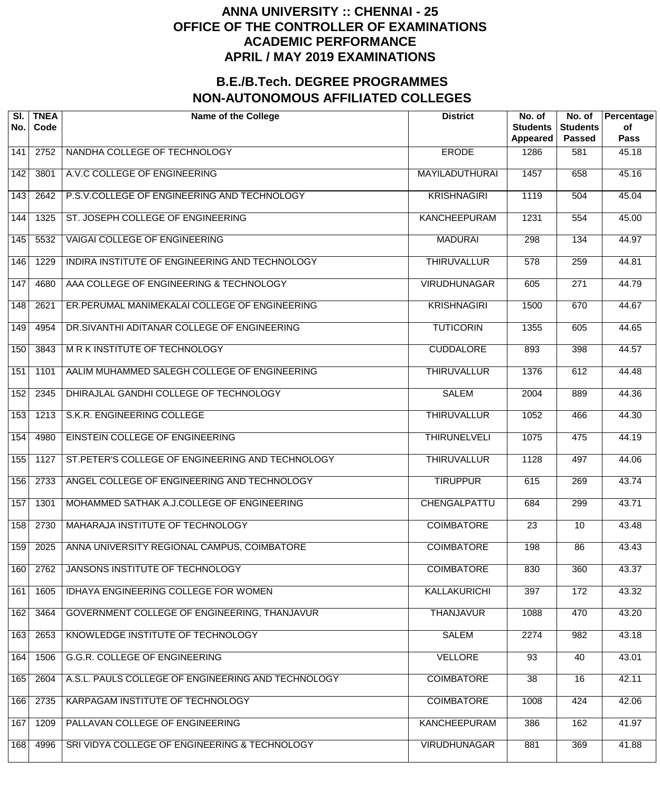| SI.<br>No.        | <b>TNEA</b><br>Code | <b>Name of the College</b>                         | <b>District</b>       | No. of<br><b>Students</b><br>Appeared | No. of<br><b>Students</b><br><b>Passed</b> | Percentage<br>οf<br><b>Pass</b> |
|-------------------|---------------------|----------------------------------------------------|-----------------------|---------------------------------------|--------------------------------------------|---------------------------------|
| 141               | 2752                | NANDHA COLLEGE OF TECHNOLOGY                       | <b>ERODE</b>          | 1286                                  | 581                                        | 45.18                           |
| 142               | 3801                | A.V.C COLLEGE OF ENGINEERING                       | <b>MAYILADUTHURAI</b> | 1457                                  | 658                                        | 45.16                           |
| 143               | 2642                | P.S.V.COLLEGE OF ENGINEERING AND TECHNOLOGY        | <b>KRISHNAGIRI</b>    | 1119                                  | 504                                        | 45.04                           |
| 144               | 1325                | ST. JOSEPH COLLEGE OF ENGINEERING                  | <b>KANCHEEPURAM</b>   | 1231                                  | 554                                        | 45.00                           |
| $\frac{145}{145}$ | 5532                | <b>VAIGAI COLLEGE OF ENGINEERING</b>               | <b>MADURAI</b>        | 298                                   | 134                                        | 44.97                           |
| 146               | 1229                | INDIRA INSTITUTE OF ENGINEERING AND TECHNOLOGY     | <b>THIRUVALLUR</b>    | $\overline{578}$                      | 259                                        | 44.81                           |
| 147               | 4680                | AAA COLLEGE OF ENGINEERING & TECHNOLOGY            | <b>VIRUDHUNAGAR</b>   | 605                                   | $\overline{271}$                           | 44.79                           |
| 148               | 2621                | ER.PERUMAL MANIMEKALAI COLLEGE OF ENGINEERING      | <b>KRISHNAGIRI</b>    | 1500                                  | 670                                        | 44.67                           |
| 149               | 4954                | DR.SIVANTHI ADITANAR COLLEGE OF ENGINEERING        | <b>TUTICORIN</b>      | 1355                                  | 605                                        | 44.65                           |
| 150               | 3843                | <b>MRK INSTITUTE OF TECHNOLOGY</b>                 | <b>CUDDALORE</b>      | 893                                   | 398                                        | 44.57                           |
| 151               | 1101                | AALIM MUHAMMED SALEGH COLLEGE OF ENGINEERING       | <b>THIRUVALLUR</b>    | 1376                                  | 612                                        | 44.48                           |
| 152               | 2345                | DHIRAJLAL GANDHI COLLEGE OF TECHNOLOGY             | <b>SALEM</b>          | 2004                                  | 889                                        | 44.36                           |
| 153               | 1213                | S.K.R. ENGINEERING COLLEGE                         | <b>THIRUVALLUR</b>    | 1052                                  | 466                                        | 44.30                           |
| 154               | 4980                | EINSTEIN COLLEGE OF ENGINEERING                    | <b>THIRUNELVELI</b>   | 1075                                  | 475                                        | 44.19                           |
| 155               | 1127                | ST. PETER'S COLLEGE OF ENGINEERING AND TECHNOLOGY  | <b>THIRUVALLUR</b>    | 1128                                  | 497                                        | 44.06                           |
| 156               | 2733                | ANGEL COLLEGE OF ENGINEERING AND TECHNOLOGY        | <b>TIRUPPUR</b>       | 615                                   | 269                                        | 43.74                           |
| 157               | 1301                | MOHAMMED SATHAK A.J.COLLEGE OF ENGINEERING         | <b>CHENGALPATTU</b>   | 684                                   | 299                                        | 43.71                           |
| 158               | 2730                | MAHARAJA INSTITUTE OF TECHNOLOGY                   | <b>COIMBATORE</b>     | $\overline{23}$                       | 10                                         | 43.48                           |
| 159               | 2025                | ANNA UNIVERSITY REGIONAL CAMPUS, COIMBATORE        | <b>COIMBATORE</b>     | 198                                   | 86                                         | 43.43                           |
| 160               | 2762                | JANSONS INSTITUTE OF TECHNOLOGY                    | <b>COIMBATORE</b>     | 830                                   | 360                                        | 43.37                           |
| 161               | 1605                | <b>IDHAYA ENGINEERING COLLEGE FOR WOMEN</b>        | <b>KALLAKURICHI</b>   | 397                                   | 172                                        | 43.32                           |
| 162               | 3464                | GOVERNMENT COLLEGE OF ENGINEERING, THANJAVUR       | <b>THANJAVUR</b>      | 1088                                  | 470                                        | 43.20                           |
| 163               | 2653                | KNOWLEDGE INSTITUTE OF TECHNOLOGY                  | <b>SALEM</b>          | 2274                                  | 982                                        | 43.18                           |
| 164               | 1506                | <b>G.G.R. COLLEGE OF ENGINEERING</b>               | <b>VELLORE</b>        | 93                                    | 40                                         | 43.01                           |
| 165               | 2604                | A.S.L. PAULS COLLEGE OF ENGINEERING AND TECHNOLOGY | <b>COIMBATORE</b>     | $\overline{38}$                       | 16                                         | 42.11                           |
| 166               | 2735                | KARPAGAM INSTITUTE OF TECHNOLOGY                   | <b>COIMBATORE</b>     | 1008                                  | 424                                        | 42.06                           |
| 167               | 1209                | PALLAVAN COLLEGE OF ENGINEERING                    | <b>KANCHEEPURAM</b>   | 386                                   | 162                                        | 41.97                           |
| 168               | 4996                | SRI VIDYA COLLEGE OF ENGINEERING & TECHNOLOGY      | <b>VIRUDHUNAGAR</b>   | 881                                   | 369                                        | 41.88                           |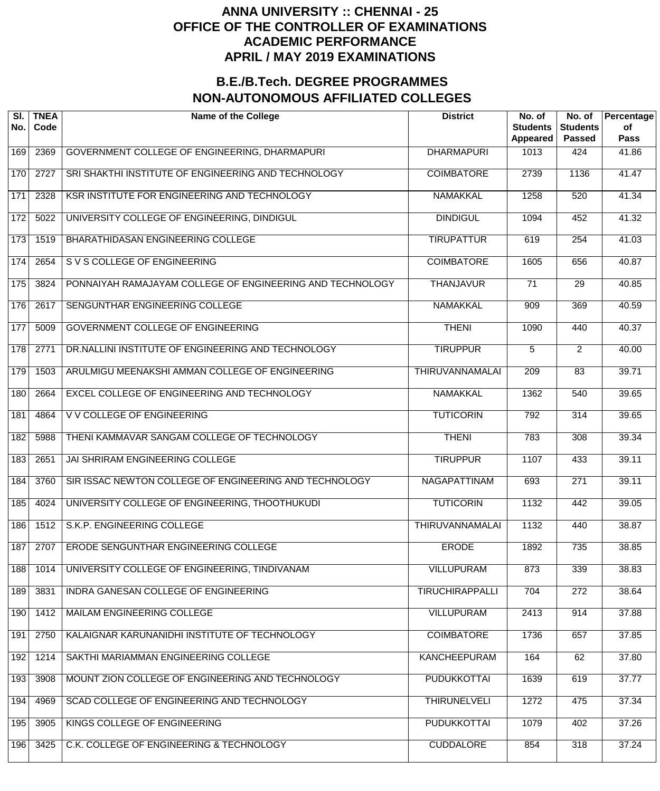| SI.<br>No. | <b>TNEA</b><br>Code | <b>Name of the College</b>                                | <b>District</b>        | No. of<br><b>Students</b><br>Appeared | No. of<br><b>Students</b><br><b>Passed</b> | Percentage<br>of<br><b>Pass</b> |
|------------|---------------------|-----------------------------------------------------------|------------------------|---------------------------------------|--------------------------------------------|---------------------------------|
| 169        | 2369                | GOVERNMENT COLLEGE OF ENGINEERING, DHARMAPURI             | <b>DHARMAPURI</b>      | 1013                                  | 424                                        | 41.86                           |
| 170        | 2727                | SRI SHAKTHI INSTITUTE OF ENGINEERING AND TECHNOLOGY       | <b>COIMBATORE</b>      | 2739                                  | 1136                                       | 41.47                           |
| 171        | 2328                | KSR INSTITUTE FOR ENGINEERING AND TECHNOLOGY              | <b>NAMAKKAL</b>        | 1258                                  | 520                                        | 41.34                           |
| 172        | 5022                | UNIVERSITY COLLEGE OF ENGINEERING, DINDIGUL               | <b>DINDIGUL</b>        | 1094                                  | 452                                        | 41.32                           |
| 173        | 1519                | BHARATHIDASAN ENGINEERING COLLEGE                         | <b>TIRUPATTUR</b>      | 619                                   | $\overline{254}$                           | 41.03                           |
| 174        | 2654                | S V S COLLEGE OF ENGINEERING                              | <b>COIMBATORE</b>      | 1605                                  | 656                                        | 40.87                           |
| 175        | 3824                | PONNAIYAH RAMAJAYAM COLLEGE OF ENGINEERING AND TECHNOLOGY | <b>THANJAVUR</b>       | $\overline{71}$                       | 29                                         | 40.85                           |
| 176        | 2617                | SENGUNTHAR ENGINEERING COLLEGE                            | <b>NAMAKKAL</b>        | 909                                   | 369                                        | 40.59                           |
| 177        | 5009                | <b>GOVERNMENT COLLEGE OF ENGINEERING</b>                  | <b>THENI</b>           | 1090                                  | 440                                        | 40.37                           |
| 178        | 2771                | DR.NALLINI INSTITUTE OF ENGINEERING AND TECHNOLOGY        | <b>TIRUPPUR</b>        | 5                                     | $\overline{2}$                             | 40.00                           |
| 179        | 1503                | ARULMIGU MEENAKSHI AMMAN COLLEGE OF ENGINEERING           | THIRUVANNAMALAI        | 209                                   | $\overline{83}$                            | 39.71                           |
| 180        | 2664                | EXCEL COLLEGE OF ENGINEERING AND TECHNOLOGY               | <b>NAMAKKAL</b>        | 1362                                  | 540                                        | 39.65                           |
| 181        | 4864                | V V COLLEGE OF ENGINEERING                                | <b>TUTICORIN</b>       | 792                                   | 314                                        | 39.65                           |
| 182        | 5988                | THENI KAMMAVAR SANGAM COLLEGE OF TECHNOLOGY               | <b>THENI</b>           | 783                                   | 308                                        | 39.34                           |
| 183        | 2651                | JAI SHRIRAM ENGINEERING COLLEGE                           | <b>TIRUPPUR</b>        | 1107                                  | 433                                        | 39.11                           |
| 184        | 3760                | SIR ISSAC NEWTON COLLEGE OF ENGINEERING AND TECHNOLOGY    | <b>NAGAPATTINAM</b>    | 693                                   | 271                                        | 39.11                           |
| 185        | 4024                | UNIVERSITY COLLEGE OF ENGINEERING, THOOTHUKUDI            | <b>TUTICORIN</b>       | 1132                                  | 442                                        | 39.05                           |
| 186        | 1512                | S.K.P. ENGINEERING COLLEGE                                | <b>THIRUVANNAMALAI</b> | 1132                                  | 440                                        | 38.87                           |
| 187        | 2707                | <b>ERODE SENGUNTHAR ENGINEERING COLLEGE</b>               | <b>ERODE</b>           | 1892                                  | 735                                        | 38.85                           |
| 188        | 1014                | UNIVERSITY COLLEGE OF ENGINEERING, TINDIVANAM             | <b>VILLUPURAM</b>      | 873                                   | 339                                        | 38.83                           |
| 189        | 3831                | INDRA GANESAN COLLEGE OF ENGINEERING                      | <b>TIRUCHIRAPPALLI</b> | 704                                   | 272                                        | 38.64                           |
| 190        | 1412                | MAILAM ENGINEERING COLLEGE                                | <b>VILLUPURAM</b>      | 2413                                  | 914                                        | 37.88                           |
| 191        | 2750                | KALAIGNAR KARUNANIDHI INSTITUTE OF TECHNOLOGY             | <b>COIMBATORE</b>      | 1736                                  | 657                                        | 37.85                           |
| 192        | 1214                | SAKTHI MARIAMMAN ENGINEERING COLLEGE                      | <b>KANCHEEPURAM</b>    | 164                                   | 62                                         | 37.80                           |
| 193        | 3908                | MOUNT ZION COLLEGE OF ENGINEERING AND TECHNOLOGY          | <b>PUDUKKOTTAI</b>     | 1639                                  | 619                                        | 37.77                           |
| 194        | 4969                | SCAD COLLEGE OF ENGINEERING AND TECHNOLOGY                | <b>THIRUNELVELI</b>    | 1272                                  | 475                                        | 37.34                           |
| 195        | 3905                | KINGS COLLEGE OF ENGINEERING                              | <b>PUDUKKOTTAI</b>     | 1079                                  | 402                                        | 37.26                           |
| 196        | 3425                | C.K. COLLEGE OF ENGINEERING & TECHNOLOGY                  | <b>CUDDALORE</b>       | 854                                   | 318                                        | 37.24                           |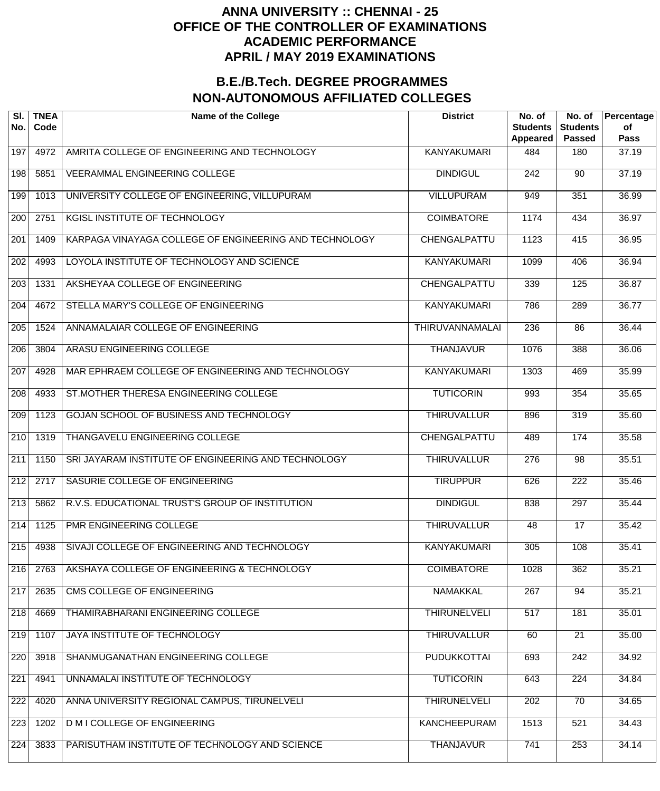| SI.<br>No.       | <b>TNEA</b><br>Code | <b>Name of the College</b>                             | <b>District</b>        | No. of<br><b>Students</b><br>Appeared | No. of<br><b>Students</b><br><b>Passed</b> | Percentage<br>of<br><b>Pass</b> |
|------------------|---------------------|--------------------------------------------------------|------------------------|---------------------------------------|--------------------------------------------|---------------------------------|
| 197              | 4972                | AMRITA COLLEGE OF ENGINEERING AND TECHNOLOGY           | <b>KANYAKUMARI</b>     | 484                                   | 180                                        | 37.19                           |
| 198              | 5851                | <b>VEERAMMAL ENGINEERING COLLEGE</b>                   | <b>DINDIGUL</b>        | $\overline{242}$                      | 90                                         | 37.19                           |
| 199              | 1013                | UNIVERSITY COLLEGE OF ENGINEERING, VILLUPURAM          | <b>VILLUPURAM</b>      | 949                                   | 351                                        | 36.99                           |
| $\overline{200}$ | 2751                | <b>KGISL INSTITUTE OF TECHNOLOGY</b>                   | <b>COIMBATORE</b>      | 1174                                  | 434                                        | 36.97                           |
| $\overline{201}$ | 1409                | KARPAGA VINAYAGA COLLEGE OF ENGINEERING AND TECHNOLOGY | <b>CHENGALPATTU</b>    | 1123                                  | 415                                        | 36.95                           |
| $\overline{202}$ | 4993                | LOYOLA INSTITUTE OF TECHNOLOGY AND SCIENCE             | <b>KANYAKUMARI</b>     | 1099                                  | 406                                        | 36.94                           |
| $\overline{203}$ | 1331                | AKSHEYAA COLLEGE OF ENGINEERING                        | CHENGALPATTU           | 339                                   | 125                                        | 36.87                           |
| $\overline{204}$ | 4672                | STELLA MARY'S COLLEGE OF ENGINEERING                   | <b>KANYAKUMARI</b>     | 786                                   | 289                                        | 36.77                           |
| $\overline{205}$ | 1524                | ANNAMALAIAR COLLEGE OF ENGINEERING                     | <b>THIRUVANNAMALAI</b> | 236                                   | $\overline{86}$                            | 36.44                           |
| $\overline{206}$ | 3804                | ARASU ENGINEERING COLLEGE                              | <b>THANJAVUR</b>       | 1076                                  | 388                                        | 36.06                           |
| $\overline{207}$ | 4928                | MAR EPHRAEM COLLEGE OF ENGINEERING AND TECHNOLOGY      | <b>KANYAKUMARI</b>     | 1303                                  | 469                                        | 35.99                           |
| $\overline{208}$ | 4933                | ST.MOTHER THERESA ENGINEERING COLLEGE                  | <b>TUTICORIN</b>       | 993                                   | 354                                        | 35.65                           |
| $\overline{209}$ | 1123                | GOJAN SCHOOL OF BUSINESS AND TECHNOLOGY                | <b>THIRUVALLUR</b>     | 896                                   | 319                                        | 35.60                           |
| $\overline{210}$ | 1319                | THANGAVELU ENGINEERING COLLEGE                         | CHENGALPATTU           | 489                                   | 174                                        | 35.58                           |
| $\overline{211}$ | 1150                | SRI JAYARAM INSTITUTE OF ENGINEERING AND TECHNOLOGY    | <b>THIRUVALLUR</b>     | $\overline{276}$                      | $\overline{98}$                            | 35.51                           |
| $\overline{212}$ | 2717                | SASURIE COLLEGE OF ENGINEERING                         | <b>TIRUPPUR</b>        | 626                                   | $\overline{222}$                           | 35.46                           |
| $\overline{213}$ | 5862                | R.V.S. EDUCATIONAL TRUST'S GROUP OF INSTITUTION        | <b>DINDIGUL</b>        | 838                                   | 297                                        | 35.44                           |
| $\sqrt{214}$     | 1125                | PMR ENGINEERING COLLEGE                                | <b>THIRUVALLUR</b>     | 48                                    | $\overline{17}$                            | 35.42                           |
| 215              | 4938                | SIVAJI COLLEGE OF ENGINEERING AND TECHNOLOGY           | <b>KANYAKUMARI</b>     | 305                                   | 108                                        | 35.41                           |
| 216              | 2763                | AKSHAYA COLLEGE OF ENGINEERING & TECHNOLOGY            | <b>COIMBATORE</b>      | 1028                                  | 362                                        | 35.21                           |
| 217              | 2635                | <b>CMS COLLEGE OF ENGINEERING</b>                      | <b>NAMAKKAL</b>        | 267                                   | 94                                         | 35.21                           |
| 218              | 4669                | THAMIRABHARANI ENGINEERING COLLEGE                     | <b>THIRUNELVELI</b>    | 517                                   | 181                                        | 35.01                           |
| 219              | 1107                | <b>JAYA INSTITUTE OF TECHNOLOGY</b>                    | <b>THIRUVALLUR</b>     | 60                                    | $\overline{21}$                            | 35.00                           |
| 220              | 3918                | SHANMUGANATHAN ENGINEERING COLLEGE                     | <b>PUDUKKOTTAI</b>     | 693                                   | $\overline{242}$                           | 34.92                           |
| $\overline{221}$ | 4941                | UNNAMALAI INSTITUTE OF TECHNOLOGY                      | <b>TUTICORIN</b>       | 643                                   | $\overline{224}$                           | 34.84                           |
| $\overline{222}$ | 4020                | ANNA UNIVERSITY REGIONAL CAMPUS, TIRUNELVELI           | <b>THIRUNELVELI</b>    | 202                                   | $\overline{70}$                            | 34.65                           |
| 223              | 1202                | <b>D M I COLLEGE OF ENGINEERING</b>                    | <b>KANCHEEPURAM</b>    | 1513                                  | 521                                        | 34.43                           |
| $\overline{224}$ | 3833                | PARISUTHAM INSTITUTE OF TECHNOLOGY AND SCIENCE         | <b>THANJAVUR</b>       | 741                                   | 253                                        | 34.14                           |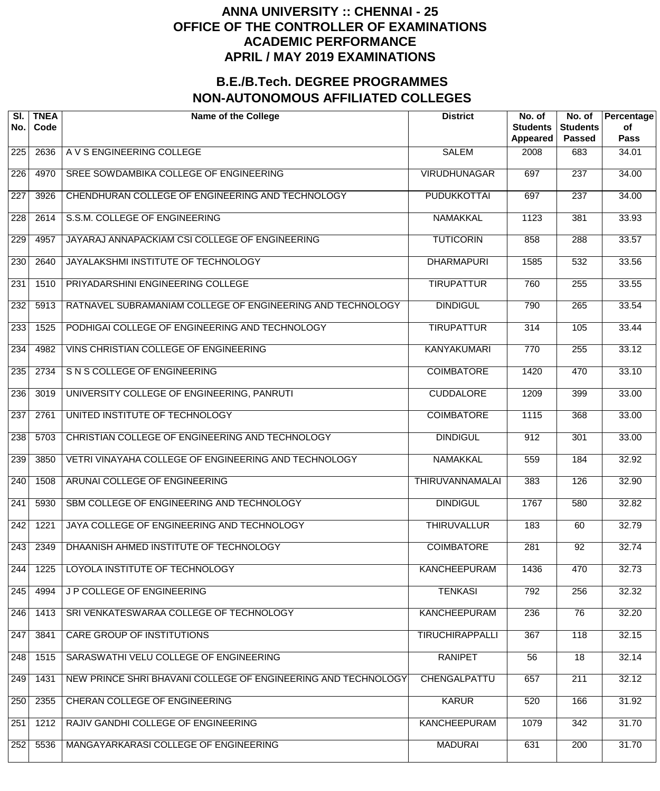| SI.<br>No.       | <b>TNEA</b><br>Code | <b>Name of the College</b>                                    | <b>District</b>        | No. of<br><b>Students</b><br><b>Appeared</b> | No. of<br><b>Students</b><br><b>Passed</b> | Percentage<br>of<br><b>Pass</b> |
|------------------|---------------------|---------------------------------------------------------------|------------------------|----------------------------------------------|--------------------------------------------|---------------------------------|
| 225              | 2636                | A V S ENGINEERING COLLEGE                                     | <b>SALEM</b>           | 2008                                         | 683                                        | 34.01                           |
| 226              | 4970                | SREE SOWDAMBIKA COLLEGE OF ENGINEERING                        | <b>VIRUDHUNAGAR</b>    | 697                                          | $\overline{237}$                           | 34.00                           |
| 227              | 3926                | CHENDHURAN COLLEGE OF ENGINEERING AND TECHNOLOGY              | <b>PUDUKKOTTAI</b>     | 697                                          | $\overline{237}$                           | 34.00                           |
| 228              | 2614                | S.S.M. COLLEGE OF ENGINEERING                                 | <b>NAMAKKAL</b>        | 1123                                         | 381                                        | 33.93                           |
| 229              | 4957                | JAYARAJ ANNAPACKIAM CSI COLLEGE OF ENGINEERING                | <b>TUTICORIN</b>       | 858                                          | 288                                        | 33.57                           |
| 230              | 2640                | JAYALAKSHMI INSTITUTE OF TECHNOLOGY                           | <b>DHARMAPURI</b>      | 1585                                         | $\overline{532}$                           | 33.56                           |
| 231              | 1510                | PRIYADARSHINI ENGINEERING COLLEGE                             | <b>TIRUPATTUR</b>      | 760                                          | 255                                        | 33.55                           |
| 232              | 5913                | RATNAVEL SUBRAMANIAM COLLEGE OF ENGINEERING AND TECHNOLOGY    | <b>DINDIGUL</b>        | 790                                          | 265                                        | 33.54                           |
| $\overline{233}$ | 1525                | PODHIGAI COLLEGE OF ENGINEERING AND TECHNOLOGY                | <b>TIRUPATTUR</b>      | $\overline{314}$                             | 105                                        | 33.44                           |
| 234              | 4982                | VINS CHRISTIAN COLLEGE OF ENGINEERING                         | <b>KANYAKUMARI</b>     | 770                                          | 255                                        | 33.12                           |
| 235              | 2734                | S N S COLLEGE OF ENGINEERING                                  | <b>COIMBATORE</b>      | 1420                                         | 470                                        | 33.10                           |
| 236              | 3019                | UNIVERSITY COLLEGE OF ENGINEERING, PANRUTI                    | <b>CUDDALORE</b>       | 1209                                         | 399                                        | 33.00                           |
| 237              | 2761                | UNITED INSTITUTE OF TECHNOLOGY                                | <b>COIMBATORE</b>      | 1115                                         | 368                                        | 33.00                           |
| 238              | 5703                | CHRISTIAN COLLEGE OF ENGINEERING AND TECHNOLOGY               | <b>DINDIGUL</b>        | 912                                          | 301                                        | 33.00                           |
| 239              | 3850                | VETRI VINAYAHA COLLEGE OF ENGINEERING AND TECHNOLOGY          | <b>NAMAKKAL</b>        | 559                                          | 184                                        | 32.92                           |
| 240              | 1508                | ARUNAI COLLEGE OF ENGINEERING                                 | <b>THIRUVANNAMALAI</b> | 383                                          | 126                                        | 32.90                           |
| 241              | 5930                | SBM COLLEGE OF ENGINEERING AND TECHNOLOGY                     | <b>DINDIGUL</b>        | 1767                                         | 580                                        | 32.82                           |
| 242              | 1221                | JAYA COLLEGE OF ENGINEERING AND TECHNOLOGY                    | <b>THIRUVALLUR</b>     | 183                                          | 60                                         | 32.79                           |
| 243              | 2349                | DHAANISH AHMED INSTITUTE OF TECHNOLOGY                        | <b>COIMBATORE</b>      | 281                                          | $\overline{92}$                            | 32.74                           |
| 244              | 1225                | LOYOLA INSTITUTE OF TECHNOLOGY                                | <b>KANCHEEPURAM</b>    | 1436                                         | 470                                        | 32.73                           |
| 245              | 4994                | J P COLLEGE OF ENGINEERING                                    | <b>TENKASI</b>         | 792                                          | 256                                        | 32.32                           |
| 246              | 1413                | SRI VENKATESWARAA COLLEGE OF TECHNOLOGY                       | <b>KANCHEEPURAM</b>    | 236                                          | 76                                         | 32.20                           |
| 247              | 3841                | <b>CARE GROUP OF INSTITUTIONS</b>                             | <b>TIRUCHIRAPPALLI</b> | 367                                          | 118                                        | 32.15                           |
| 248              | 1515                | SARASWATHI VELU COLLEGE OF ENGINEERING                        | <b>RANIPET</b>         | 56                                           | $\overline{18}$                            | 32.14                           |
| 249              | 1431                | NEW PRINCE SHRI BHAVANI COLLEGE OF ENGINEERING AND TECHNOLOGY | CHENGALPATTU           | 657                                          | 211                                        | 32.12                           |
| 250              | 2355                | CHERAN COLLEGE OF ENGINEERING                                 | <b>KARUR</b>           | 520                                          | 166                                        | 31.92                           |
| 251              | 1212                | RAJIV GANDHI COLLEGE OF ENGINEERING                           | <b>KANCHEEPURAM</b>    | 1079                                         | 342                                        | 31.70                           |
| 252              | 5536                | MANGAYARKARASI COLLEGE OF ENGINEERING                         | <b>MADURAI</b>         | 631                                          | $\overline{200}$                           | 31.70                           |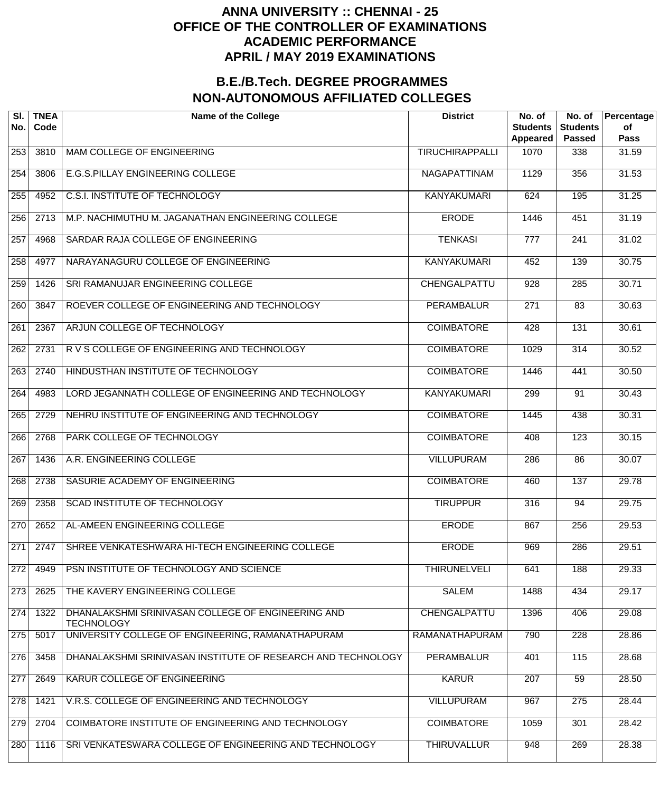| SI.<br>No.       | <b>TNEA</b><br>Code | <b>Name of the College</b>                                              | <b>District</b>        | No. of<br><b>Students</b><br>Appeared | No. of<br><b>Students</b><br><b>Passed</b> | Percentage<br>of<br>Pass |
|------------------|---------------------|-------------------------------------------------------------------------|------------------------|---------------------------------------|--------------------------------------------|--------------------------|
| 253              | 3810                | MAM COLLEGE OF ENGINEERING                                              | <b>TIRUCHIRAPPALLI</b> | 1070                                  | 338                                        | 31.59                    |
| 254              | 3806                | E.G.S.PILLAY ENGINEERING COLLEGE                                        | NAGAPATTINAM           | 1129                                  | 356                                        | 31.53                    |
| 255              | 4952                | <b>C.S.I. INSTITUTE OF TECHNOLOGY</b>                                   | <b>KANYAKUMARI</b>     | 624                                   | 195                                        | 31.25                    |
| 256              | 2713                | M.P. NACHIMUTHU M. JAGANATHAN ENGINEERING COLLEGE                       | <b>ERODE</b>           | 1446                                  | 451                                        | 31.19                    |
| 257              | 4968                | SARDAR RAJA COLLEGE OF ENGINEERING                                      | <b>TENKASI</b>         | $\overline{777}$                      | 241                                        | 31.02                    |
| 258              | 4977                | NARAYANAGURU COLLEGE OF ENGINEERING                                     | <b>KANYAKUMARI</b>     | 452                                   | 139                                        | 30.75                    |
| 259              | 1426                | SRI RAMANUJAR ENGINEERING COLLEGE                                       | CHENGALPATTU           | 928                                   | 285                                        | 30.71                    |
| 260              | 3847                | ROEVER COLLEGE OF ENGINEERING AND TECHNOLOGY                            | <b>PERAMBALUR</b>      | $\overline{271}$                      | $\overline{83}$                            | 30.63                    |
| 261              | 2367                | ARJUN COLLEGE OF TECHNOLOGY                                             | <b>COIMBATORE</b>      | 428                                   | 131                                        | 30.61                    |
| $\overline{262}$ | 2731                | R V S COLLEGE OF ENGINEERING AND TECHNOLOGY                             | <b>COIMBATORE</b>      | 1029                                  | $\overline{314}$                           | 30.52                    |
| $\overline{263}$ | 2740                | HINDUSTHAN INSTITUTE OF TECHNOLOGY                                      | <b>COIMBATORE</b>      | 1446                                  | 441                                        | 30.50                    |
| 264              | 4983                | LORD JEGANNATH COLLEGE OF ENGINEERING AND TECHNOLOGY                    | <b>KANYAKUMARI</b>     | 299                                   | $\overline{91}$                            | 30.43                    |
| $\overline{265}$ | 2729                | NEHRU INSTITUTE OF ENGINEERING AND TECHNOLOGY                           | <b>COIMBATORE</b>      | 1445                                  | 438                                        | 30.31                    |
| 266              | 2768                | PARK COLLEGE OF TECHNOLOGY                                              | <b>COIMBATORE</b>      | 408                                   | 123                                        | 30.15                    |
| 267              | 1436                | A.R. ENGINEERING COLLEGE                                                | <b>VILLUPURAM</b>      | 286                                   | $\overline{86}$                            | 30.07                    |
| 268              | 2738                | SASURIE ACADEMY OF ENGINEERING                                          | <b>COIMBATORE</b>      | 460                                   | 137                                        | 29.78                    |
| 269              | 2358                | <b>SCAD INSTITUTE OF TECHNOLOGY</b>                                     | <b>TIRUPPUR</b>        | 316                                   | 94                                         | 29.75                    |
| 270              | 2652                | AL-AMEEN ENGINEERING COLLEGE                                            | <b>ERODE</b>           | 867                                   | 256                                        | 29.53                    |
| 271              | 2747                | SHREE VENKATESHWARA HI-TECH ENGINEERING COLLEGE                         | <b>ERODE</b>           | 969                                   | 286                                        | 29.51                    |
| 272              | 4949                | PSN INSTITUTE OF TECHNOLOGY AND SCIENCE                                 | <b>THIRUNELVELI</b>    | 641                                   | 188                                        | 29.33                    |
| 273              | 2625                | THE KAVERY ENGINEERING COLLEGE                                          | <b>SALEM</b>           | 1488                                  | 434                                        | 29.17                    |
| 274              | 1322                | DHANALAKSHMI SRINIVASAN COLLEGE OF ENGINEERING AND<br><b>TECHNOLOGY</b> | CHENGALPATTU           | 1396                                  | 406                                        | 29.08                    |
| 275              | 5017                | UNIVERSITY COLLEGE OF ENGINEERING, RAMANATHAPURAM                       | RAMANATHAPURAM         | 790                                   | $\overline{228}$                           | 28.86                    |
| 276              | 3458                | DHANALAKSHMI SRINIVASAN INSTITUTE OF RESEARCH AND TECHNOLOGY            | <b>PERAMBALUR</b>      | 401                                   | 115                                        | 28.68                    |
| 277              | 2649                | KARUR COLLEGE OF ENGINEERING                                            | <b>KARUR</b>           | 207                                   | 59                                         | 28.50                    |
| 278              | 1421                | V.R.S. COLLEGE OF ENGINEERING AND TECHNOLOGY                            | <b>VILLUPURAM</b>      | 967                                   | 275                                        | 28.44                    |
| 279              | 2704                | COIMBATORE INSTITUTE OF ENGINEERING AND TECHNOLOGY                      | <b>COIMBATORE</b>      | 1059                                  | 301                                        | 28.42                    |
| 280              | 1116                | SRI VENKATESWARA COLLEGE OF ENGINEERING AND TECHNOLOGY                  | <b>THIRUVALLUR</b>     | 948                                   | 269                                        | 28.38                    |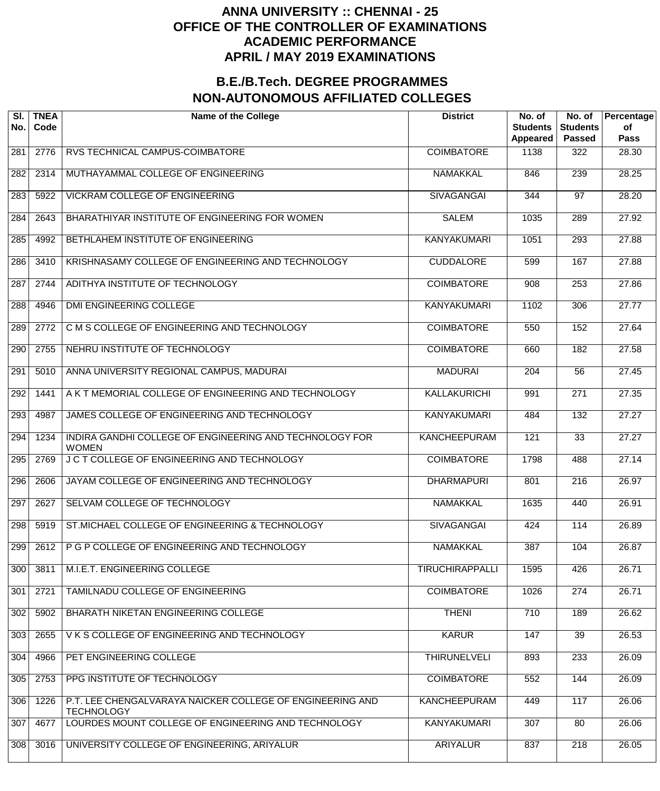| SI.<br>No.       | <b>TNEA</b><br>Code | <b>Name of the College</b>                                                     | <b>District</b>        | No. of<br><b>Students</b><br>Appeared | No. of<br><b>Students</b><br><b>Passed</b> | Percentage<br>of<br><b>Pass</b> |
|------------------|---------------------|--------------------------------------------------------------------------------|------------------------|---------------------------------------|--------------------------------------------|---------------------------------|
| 281              | 2776                | RVS TECHNICAL CAMPUS-COIMBATORE                                                | <b>COIMBATORE</b>      | 1138                                  | 322                                        | 28.30                           |
| 282              | 2314                | MUTHAYAMMAL COLLEGE OF ENGINEERING                                             | <b>NAMAKKAL</b>        | 846                                   | 239                                        | 28.25                           |
| 283              | 5922                | <b>VICKRAM COLLEGE OF ENGINEERING</b>                                          | <b>SIVAGANGAI</b>      | 344                                   | $\overline{97}$                            | 28.20                           |
| 284              | 2643                | BHARATHIYAR INSTITUTE OF ENGINEERING FOR WOMEN                                 | <b>SALEM</b>           | 1035                                  | 289                                        | 27.92                           |
| 285              | 4992                | BETHLAHEM INSTITUTE OF ENGINEERING                                             | <b>KANYAKUMARI</b>     | 1051                                  | 293                                        | 27.88                           |
| 286              | 3410                | KRISHNASAMY COLLEGE OF ENGINEERING AND TECHNOLOGY                              | <b>CUDDALORE</b>       | 599                                   | 167                                        | 27.88                           |
| 287              | 2744                | ADITHYA INSTITUTE OF TECHNOLOGY                                                | <b>COIMBATORE</b>      | $\overline{908}$                      | 253                                        | 27.86                           |
| 288              | 4946                | <b>DMI ENGINEERING COLLEGE</b>                                                 | <b>KANYAKUMARI</b>     | 1102                                  | 306                                        | 27.77                           |
| 289              | 2772                | C M S COLLEGE OF ENGINEERING AND TECHNOLOGY                                    | <b>COIMBATORE</b>      | 550                                   | 152                                        | 27.64                           |
| 290              | 2755                | NEHRU INSTITUTE OF TECHNOLOGY                                                  | <b>COIMBATORE</b>      | 660                                   | 182                                        | 27.58                           |
| $\overline{291}$ | 5010                | ANNA UNIVERSITY REGIONAL CAMPUS, MADURAI                                       | <b>MADURAI</b>         | 204                                   | $\overline{56}$                            | 27.45                           |
| 292              | 1441                | A K T MEMORIAL COLLEGE OF ENGINEERING AND TECHNOLOGY                           | <b>KALLAKURICHI</b>    | 991                                   | $\overline{271}$                           | 27.35                           |
| $\overline{293}$ | 4987                | JAMES COLLEGE OF ENGINEERING AND TECHNOLOGY                                    | <b>KANYAKUMARI</b>     | 484                                   | $\overline{132}$                           | 27.27                           |
| 294              | 1234                | INDIRA GANDHI COLLEGE OF ENGINEERING AND TECHNOLOGY FOR<br><b>WOMEN</b>        | <b>KANCHEEPURAM</b>    | 121                                   | $\overline{33}$                            | 27.27                           |
| 295              | 2769                | J C T COLLEGE OF ENGINEERING AND TECHNOLOGY                                    | <b>COIMBATORE</b>      | 1798                                  | 488                                        | 27.14                           |
| 296              | 2606                | JAYAM COLLEGE OF ENGINEERING AND TECHNOLOGY                                    | <b>DHARMAPURI</b>      | 801                                   | $\overline{216}$                           | 26.97                           |
| 297              | 2627                | SELVAM COLLEGE OF TECHNOLOGY                                                   | <b>NAMAKKAL</b>        | 1635                                  | 440                                        | 26.91                           |
| 298              | 5919                | ST. MICHAEL COLLEGE OF ENGINEERING & TECHNOLOGY                                | <b>SIVAGANGAI</b>      | 424                                   | 114                                        | 26.89                           |
| 299              | 2612                | P G P COLLEGE OF ENGINEERING AND TECHNOLOGY                                    | <b>NAMAKKAL</b>        | 387                                   | 104                                        | 26.87                           |
| 300              | 3811                | M.I.E.T. ENGINEERING COLLEGE                                                   | <b>TIRUCHIRAPPALLI</b> | 1595                                  | 426                                        | 26.71                           |
| 301              | 2721                | TAMILNADU COLLEGE OF ENGINEERING                                               | <b>COIMBATORE</b>      | 1026                                  | 274                                        | 26.71                           |
| 302              | 5902                | BHARATH NIKETAN ENGINEERING COLLEGE                                            | <b>THENI</b>           | 710                                   | 189                                        | 26.62                           |
| 303              | 2655                | VKS COLLEGE OF ENGINEERING AND TECHNOLOGY                                      | <b>KARUR</b>           | 147                                   | $\overline{39}$                            | 26.53                           |
| 304              | 4966                | PET ENGINEERING COLLEGE                                                        | <b>THIRUNELVELI</b>    | 893                                   | 233                                        | 26.09                           |
| 305              | 2753                | PPG INSTITUTE OF TECHNOLOGY                                                    | <b>COIMBATORE</b>      | 552                                   | 144                                        | 26.09                           |
| 306              | 1226                | P.T. LEE CHENGALVARAYA NAICKER COLLEGE OF ENGINEERING AND<br><b>TECHNOLOGY</b> | <b>KANCHEEPURAM</b>    | 449                                   | 117                                        | 26.06                           |
| 307              | 4677                | LOURDES MOUNT COLLEGE OF ENGINEERING AND TECHNOLOGY                            | <b>KANYAKUMARI</b>     | 307                                   | 80                                         | 26.06                           |
| 308              | 3016                | UNIVERSITY COLLEGE OF ENGINEERING, ARIYALUR                                    | <b>ARIYALUR</b>        | 837                                   | $\overline{218}$                           | 26.05                           |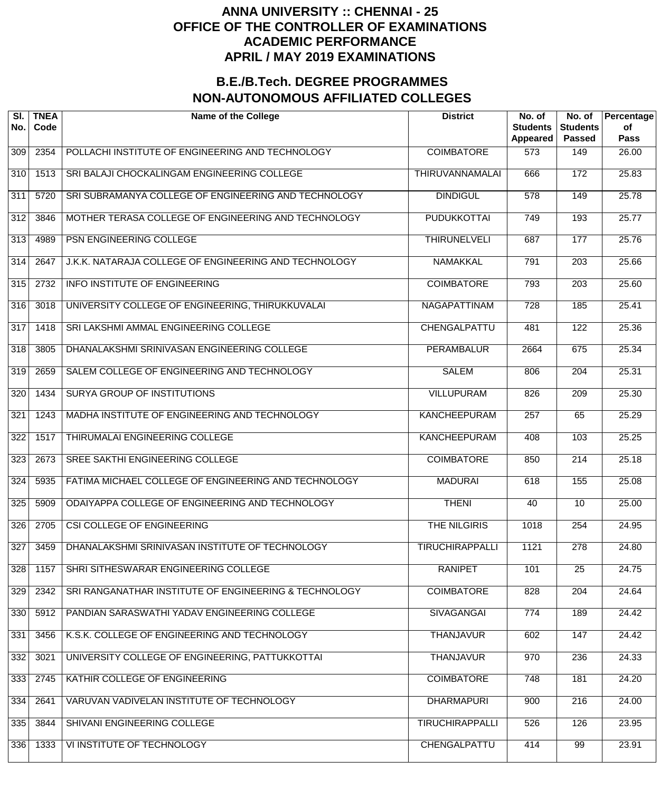| SI.<br>No.       | <b>TNEA</b><br>Code | <b>Name of the College</b>                            | <b>District</b>        | No. of<br><b>Students</b><br><b>Appeared</b> | No. of<br><b>Students</b><br><b>Passed</b> | Percentage<br>of<br><b>Pass</b> |
|------------------|---------------------|-------------------------------------------------------|------------------------|----------------------------------------------|--------------------------------------------|---------------------------------|
| 309              | 2354                | POLLACHI INSTITUTE OF ENGINEERING AND TECHNOLOGY      | <b>COIMBATORE</b>      | 573                                          | 149                                        | 26.00                           |
| $\overline{310}$ | 1513                | SRI BALAJI CHOCKALINGAM ENGINEERING COLLEGE           | <b>THIRUVANNAMALAI</b> | 666                                          | 172                                        | 25.83                           |
| $\overline{311}$ | 5720                | SRI SUBRAMANYA COLLEGE OF ENGINEERING AND TECHNOLOGY  | <b>DINDIGUL</b>        | $\overline{578}$                             | 149                                        | 25.78                           |
| $\overline{312}$ | 3846                | MOTHER TERASA COLLEGE OF ENGINEERING AND TECHNOLOGY   | <b>PUDUKKOTTAI</b>     | 749                                          | 193                                        | 25.77                           |
| $\overline{313}$ | 4989                | PSN ENGINEERING COLLEGE                               | <b>THIRUNELVELI</b>    | 687                                          | 177                                        | 25.76                           |
| $\overline{314}$ | 2647                | J.K.K. NATARAJA COLLEGE OF ENGINEERING AND TECHNOLOGY | <b>NAMAKKAL</b>        | 791                                          | $\overline{203}$                           | 25.66                           |
| 315              | 2732                | <b>INFO INSTITUTE OF ENGINEERING</b>                  | <b>COIMBATORE</b>      | 793                                          | $\overline{203}$                           | 25.60                           |
| 316              | 3018                | UNIVERSITY COLLEGE OF ENGINEERING, THIRUKKUVALAI      | <b>NAGAPATTINAM</b>    | 728                                          | 185                                        | 25.41                           |
| $\overline{317}$ | 1418                | SRI LAKSHMI AMMAL ENGINEERING COLLEGE                 | CHENGALPATTU           | 481                                          | $\overline{122}$                           | 25.36                           |
| 318              | 3805                | DHANALAKSHMI SRINIVASAN ENGINEERING COLLEGE           | <b>PERAMBALUR</b>      | 2664                                         | 675                                        | 25.34                           |
| 319              | 2659                | SALEM COLLEGE OF ENGINEERING AND TECHNOLOGY           | <b>SALEM</b>           | 806                                          | $\overline{204}$                           | 25.31                           |
| $\overline{320}$ | 1434                | <b>SURYA GROUP OF INSTITUTIONS</b>                    | <b>VILLUPURAM</b>      | 826                                          | $\overline{209}$                           | 25.30                           |
| 321              | 1243                | MADHA INSTITUTE OF ENGINEERING AND TECHNOLOGY         | <b>KANCHEEPURAM</b>    | 257                                          | 65                                         | 25.29                           |
| $\overline{322}$ | 1517                | THIRUMALAI ENGINEERING COLLEGE                        | <b>KANCHEEPURAM</b>    | 408                                          | 103                                        | 25.25                           |
| 323              | 2673                | SREE SAKTHI ENGINEERING COLLEGE                       | <b>COIMBATORE</b>      | 850                                          | $\overline{214}$                           | 25.18                           |
| 324              | 5935                | FATIMA MICHAEL COLLEGE OF ENGINEERING AND TECHNOLOGY  | <b>MADURAI</b>         | 618                                          | 155                                        | 25.08                           |
| 325              | 5909                | ODAIYAPPA COLLEGE OF ENGINEERING AND TECHNOLOGY       | <b>THENI</b>           | 40                                           | $\overline{10}$                            | 25.00                           |
| 326              | 2705                | <b>CSI COLLEGE OF ENGINEERING</b>                     | <b>THE NILGIRIS</b>    | 1018                                         | 254                                        | 24.95                           |
| 327              | 3459                | DHANALAKSHMI SRINIVASAN INSTITUTE OF TECHNOLOGY       | <b>TIRUCHIRAPPALLI</b> | 1121                                         | 278                                        | 24.80                           |
| 328              | 1157                | SHRI SITHESWARAR ENGINEERING COLLEGE                  | <b>RANIPET</b>         | $\overline{101}$                             | $\overline{25}$                            | 24.75                           |
| 329              | 2342                | SRI RANGANATHAR INSTITUTE OF ENGINEERING & TECHNOLOGY | <b>COIMBATORE</b>      | 828                                          | $\overline{204}$                           | 24.64                           |
| 330              | 5912                | PANDIAN SARASWATHI YADAV ENGINEERING COLLEGE          | <b>SIVAGANGAI</b>      | 774                                          | 189                                        | 24.42                           |
| 331              | 3456                | K.S.K. COLLEGE OF ENGINEERING AND TECHNOLOGY          | <b>THANJAVUR</b>       | 602                                          | 147                                        | 24.42                           |
| 332              | 3021                | UNIVERSITY COLLEGE OF ENGINEERING, PATTUKKOTTAI       | <b>THANJAVUR</b>       | 970                                          | 236                                        | 24.33                           |
| 333              | 2745                | KATHIR COLLEGE OF ENGINEERING                         | <b>COIMBATORE</b>      | 748                                          | 181                                        | 24.20                           |
| 334              | 2641                | VARUVAN VADIVELAN INSTITUTE OF TECHNOLOGY             | <b>DHARMAPURI</b>      | 900                                          | $\overline{216}$                           | 24.00                           |
| 335              | 3844                | SHIVANI ENGINEERING COLLEGE                           | <b>TIRUCHIRAPPALLI</b> | 526                                          | 126                                        | 23.95                           |
| 336              | 1333                | VI INSTITUTE OF TECHNOLOGY                            | CHENGALPATTU           | 414                                          | 99                                         | 23.91                           |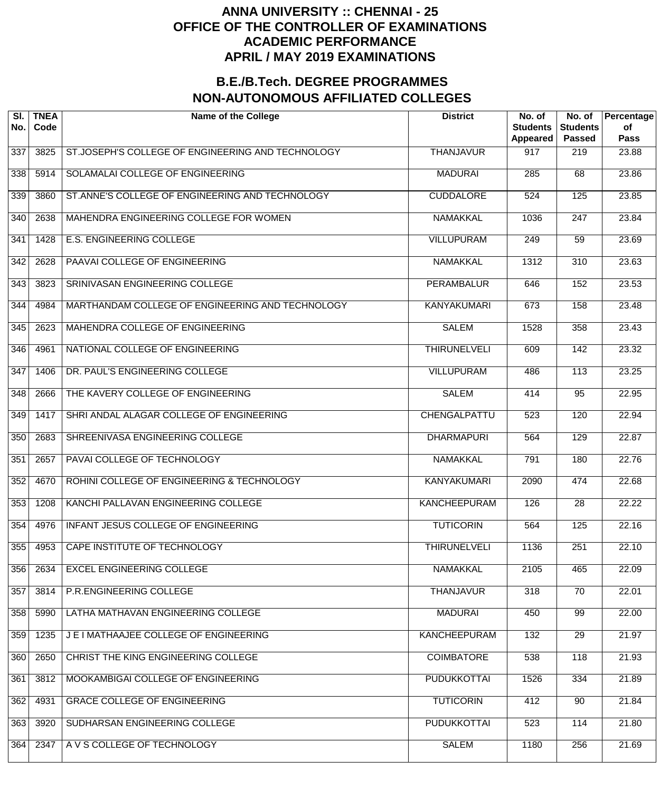| SI.<br>No. | <b>TNEA</b><br>Code | <b>Name of the College</b>                        | <b>District</b>     | No. of<br><b>Students</b><br>Appeared | No. of<br><b>Students</b><br><b>Passed</b> | Percentage<br>of<br>Pass |
|------------|---------------------|---------------------------------------------------|---------------------|---------------------------------------|--------------------------------------------|--------------------------|
| 337        | 3825                | ST.JOSEPH'S COLLEGE OF ENGINEERING AND TECHNOLOGY | <b>THANJAVUR</b>    | 917                                   | 219                                        | 23.88                    |
| 338        | 5914                | SOLAMALAI COLLEGE OF ENGINEERING                  | <b>MADURAI</b>      | 285                                   | 68                                         | 23.86                    |
| 339        | 3860                | ST.ANNE'S COLLEGE OF ENGINEERING AND TECHNOLOGY   | <b>CUDDALORE</b>    | 524                                   | 125                                        | 23.85                    |
| 340        | 2638                | MAHENDRA ENGINEERING COLLEGE FOR WOMEN            | <b>NAMAKKAL</b>     | 1036                                  | $\overline{247}$                           | 23.84                    |
| 341        | 1428                | <b>E.S. ENGINEERING COLLEGE</b>                   | <b>VILLUPURAM</b>   | 249                                   | $\overline{59}$                            | 23.69                    |
| 342        | 2628                | PAAVAI COLLEGE OF ENGINEERING                     | <b>NAMAKKAL</b>     | 1312                                  | $\overline{310}$                           | 23.63                    |
| 343        | 3823                | SRINIVASAN ENGINEERING COLLEGE                    | <b>PERAMBALUR</b>   | 646                                   | 152                                        | 23.53                    |
| 344        | 4984                | MARTHANDAM COLLEGE OF ENGINEERING AND TECHNOLOGY  | <b>KANYAKUMARI</b>  | 673                                   | 158                                        | 23.48                    |
| 345        | 2623                | MAHENDRA COLLEGE OF ENGINEERING                   | <b>SALEM</b>        | 1528                                  | 358                                        | 23.43                    |
| 346        | 4961                | NATIONAL COLLEGE OF ENGINEERING                   | <b>THIRUNELVELI</b> | 609                                   | 142                                        | 23.32                    |
| 347        | 1406                | DR. PAUL'S ENGINEERING COLLEGE                    | <b>VILLUPURAM</b>   | 486                                   | $\overline{113}$                           | 23.25                    |
| 348        | 2666                | THE KAVERY COLLEGE OF ENGINEERING                 | <b>SALEM</b>        | 414                                   | $\overline{95}$                            | 22.95                    |
| 349        | 1417                | SHRI ANDAL ALAGAR COLLEGE OF ENGINEERING          | CHENGALPATTU        | 523                                   | 120                                        | 22.94                    |
| 350        | 2683                | SHREENIVASA ENGINEERING COLLEGE                   | <b>DHARMAPURI</b>   | 564                                   | 129                                        | 22.87                    |
| 351        | 2657                | PAVAI COLLEGE OF TECHNOLOGY                       | <b>NAMAKKAL</b>     | 791                                   | 180                                        | 22.76                    |
| 352        | 4670                | ROHINI COLLEGE OF ENGINEERING & TECHNOLOGY        | <b>KANYAKUMARI</b>  | 2090                                  | 474                                        | 22.68                    |
| 353        | 1208                | KANCHI PALLAVAN ENGINEERING COLLEGE               | <b>KANCHEEPURAM</b> | 126                                   | $\overline{28}$                            | 22.22                    |
| 354        | 4976                | INFANT JESUS COLLEGE OF ENGINEERING               | <b>TUTICORIN</b>    | 564                                   | 125                                        | 22.16                    |
| 355        | 4953                | CAPE INSTITUTE OF TECHNOLOGY                      | <b>THIRUNELVELI</b> | 1136                                  | 251                                        | 22.10                    |
| 356        | 2634                | <b>EXCEL ENGINEERING COLLEGE</b>                  | <b>NAMAKKAL</b>     | 2105                                  | 465                                        | 22.09                    |
| 357        | 3814                | P.R.ENGINEERING COLLEGE                           | <b>THANJAVUR</b>    | 318                                   | $\overline{70}$                            | 22.01                    |
| 358        | 5990                | LATHA MATHAVAN ENGINEERING COLLEGE                | <b>MADURAI</b>      | 450                                   | $\overline{99}$                            | 22.00                    |
| 359        | 1235                | J E I MATHAAJEE COLLEGE OF ENGINEERING            | <b>KANCHEEPURAM</b> | 132                                   | $\overline{29}$                            | 21.97                    |
| 360        | 2650                | CHRIST THE KING ENGINEERING COLLEGE               | <b>COIMBATORE</b>   | 538                                   | 118                                        | 21.93                    |
| 361        | 3812                | MOOKAMBIGAI COLLEGE OF ENGINEERING                | <b>PUDUKKOTTAI</b>  | 1526                                  | 334                                        | 21.89                    |
| 362        | 4931                | <b>GRACE COLLEGE OF ENGINEERING</b>               | <b>TUTICORIN</b>    | 412                                   | 90                                         | 21.84                    |
| 363        | 3920                | SUDHARSAN ENGINEERING COLLEGE                     | <b>PUDUKKOTTAI</b>  | 523                                   | 114                                        | 21.80                    |
| 364        | 2347                | A V S COLLEGE OF TECHNOLOGY                       | <b>SALEM</b>        | 1180                                  | 256                                        | 21.69                    |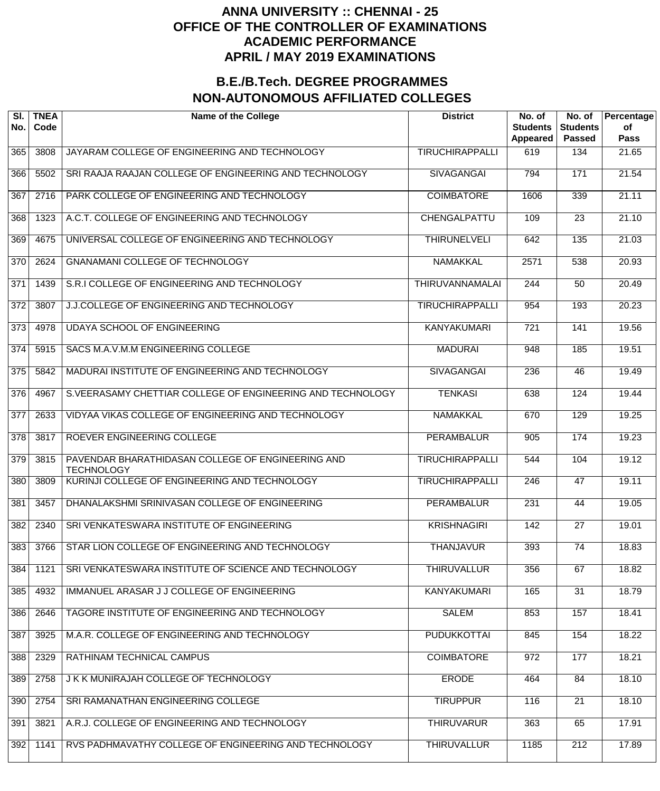| SI.<br>No.       | <b>TNEA</b><br>Code | <b>Name of the College</b>                                             | <b>District</b>        | No. of<br><b>Students</b><br>Appeared | No. of<br><b>Students</b><br><b>Passed</b> | Percentage<br>of<br><b>Pass</b> |
|------------------|---------------------|------------------------------------------------------------------------|------------------------|---------------------------------------|--------------------------------------------|---------------------------------|
| 365              | 3808                | JAYARAM COLLEGE OF ENGINEERING AND TECHNOLOGY                          | <b>TIRUCHIRAPPALLI</b> | 619                                   | 134                                        | 21.65                           |
| 366              | 5502                | SRI RAAJA RAAJAN COLLEGE OF ENGINEERING AND TECHNOLOGY                 | <b>SIVAGANGAI</b>      | 794                                   | 171                                        | 21.54                           |
| 367              | 2716                | PARK COLLEGE OF ENGINEERING AND TECHNOLOGY                             | <b>COIMBATORE</b>      | 1606                                  | 339                                        | $\overline{21.11}$              |
| 368              | 1323                | A.C.T. COLLEGE OF ENGINEERING AND TECHNOLOGY                           | CHENGALPATTU           | 109                                   | $\overline{23}$                            | 21.10                           |
| 369              | 4675                | UNIVERSAL COLLEGE OF ENGINEERING AND TECHNOLOGY                        | <b>THIRUNELVELI</b>    | 642                                   | 135                                        | 21.03                           |
| 370              | 2624                | GNANAMANI COLLEGE OF TECHNOLOGY                                        | <b>NAMAKKAL</b>        | 2571                                  | 538                                        | 20.93                           |
| 371              | 1439                | S.R.I COLLEGE OF ENGINEERING AND TECHNOLOGY                            | <b>THIRUVANNAMALAI</b> | 244                                   | 50                                         | 20.49                           |
| 372              | 3807                | J.J.COLLEGE OF ENGINEERING AND TECHNOLOGY                              | <b>TIRUCHIRAPPALLI</b> | 954                                   | 193                                        | 20.23                           |
| 373              | 4978                | <b>UDAYA SCHOOL OF ENGINEERING</b>                                     | <b>KANYAKUMARI</b>     | $\overline{721}$                      | 141                                        | 19.56                           |
| 374              | 5915                | SACS M.A.V.M.M ENGINEERING COLLEGE                                     | <b>MADURAI</b>         | 948                                   | 185                                        | 19.51                           |
| $\overline{375}$ | 5842                | MADURAI INSTITUTE OF ENGINEERING AND TECHNOLOGY                        | <b>SIVAGANGAI</b>      | 236                                   | 46                                         | 19.49                           |
| $\overline{376}$ | 4967                | S.VEERASAMY CHETTIAR COLLEGE OF ENGINEERING AND TECHNOLOGY             | <b>TENKASI</b>         | 638                                   | 124                                        | 19.44                           |
| 377              | 2633                | VIDYAA VIKAS COLLEGE OF ENGINEERING AND TECHNOLOGY                     | <b>NAMAKKAL</b>        | 670                                   | 129                                        | 19.25                           |
| $\overline{378}$ | 3817                | ROEVER ENGINEERING COLLEGE                                             | <b>PERAMBALUR</b>      | 905                                   | 174                                        | 19.23                           |
| 379              | 3815                | PAVENDAR BHARATHIDASAN COLLEGE OF ENGINEERING AND<br><b>TECHNOLOGY</b> | <b>TIRUCHIRAPPALLI</b> | 544                                   | 104                                        | 19.12                           |
| 380              | 3809                | KURINJI COLLEGE OF ENGINEERING AND TECHNOLOGY                          | <b>TIRUCHIRAPPALLI</b> | $\overline{246}$                      | 47                                         | 19.11                           |
| 381              | 3457                | DHANALAKSHMI SRINIVASAN COLLEGE OF ENGINEERING                         | <b>PERAMBALUR</b>      | 231                                   | 44                                         | 19.05                           |
| 382              | 2340                | SRI VENKATESWARA INSTITUTE OF ENGINEERING                              | <b>KRISHNAGIRI</b>     | 142                                   | $\overline{27}$                            | 19.01                           |
| 383              | 3766                | STAR LION COLLEGE OF ENGINEERING AND TECHNOLOGY                        | <b>THANJAVUR</b>       | 393                                   | $\overline{74}$                            | 18.83                           |
| 384              | 1121                | SRI VENKATESWARA INSTITUTE OF SCIENCE AND TECHNOLOGY                   | <b>THIRUVALLUR</b>     | 356                                   | 67                                         | 18.82                           |
| 385              | 4932                | IMMANUEL ARASAR J J COLLEGE OF ENGINEERING                             | <b>KANYAKUMARI</b>     | 165                                   | $\overline{31}$                            | 18.79                           |
| 386              | 2646                | TAGORE INSTITUTE OF ENGINEERING AND TECHNOLOGY                         | <b>SALEM</b>           | 853                                   | 157                                        | 18.41                           |
| 387              | 3925                | M.A.R. COLLEGE OF ENGINEERING AND TECHNOLOGY                           | <b>PUDUKKOTTAI</b>     | 845                                   | 154                                        | 18.22                           |
| 388              | 2329                | RATHINAM TECHNICAL CAMPUS                                              | <b>COIMBATORE</b>      | 972                                   | 177                                        | 18.21                           |
| 389              | 2758                | J K K MUNIRAJAH COLLEGE OF TECHNOLOGY                                  | <b>ERODE</b>           | 464                                   | 84                                         | 18.10                           |
| 390              | 2754                | SRI RAMANATHAN ENGINEERING COLLEGE                                     | <b>TIRUPPUR</b>        | 116                                   | 21                                         | 18.10                           |
| 391              | 3821                | A.R.J. COLLEGE OF ENGINEERING AND TECHNOLOGY                           | <b>THIRUVARUR</b>      | 363                                   | 65                                         | 17.91                           |
| 392              | 1141                | RVS PADHMAVATHY COLLEGE OF ENGINEERING AND TECHNOLOGY                  | <b>THIRUVALLUR</b>     | 1185                                  | $\overline{212}$                           | 17.89                           |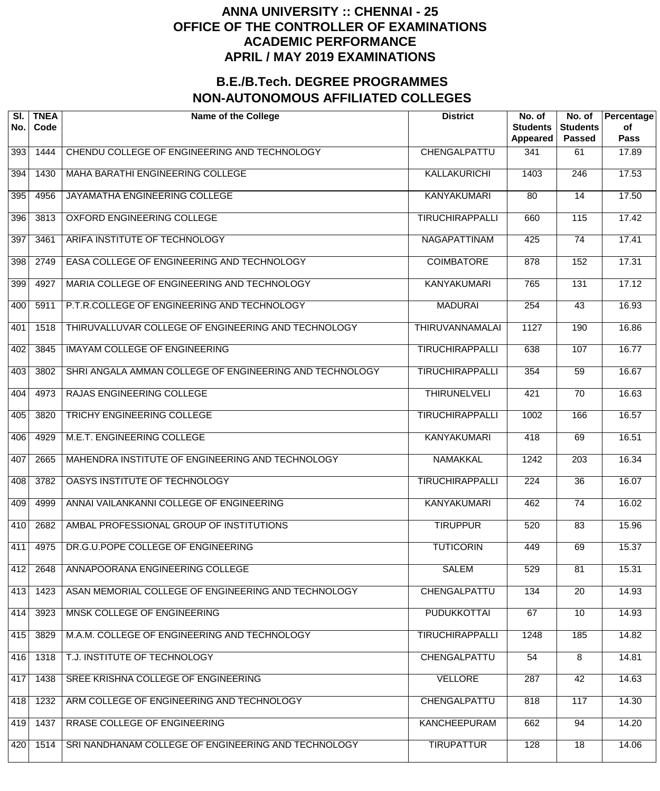| SI.<br>No. | <b>TNEA</b><br>Code | <b>Name of the College</b>                              | <b>District</b>        | No. of<br><b>Students</b><br>Appeared | No. of<br><b>Students</b><br><b>Passed</b> | Percentage<br>of<br><b>Pass</b> |
|------------|---------------------|---------------------------------------------------------|------------------------|---------------------------------------|--------------------------------------------|---------------------------------|
| 393        | 1444                | CHENDU COLLEGE OF ENGINEERING AND TECHNOLOGY            | CHENGALPATTU           | 341                                   | 61                                         | 17.89                           |
| 394        | 1430                | <b>MAHA BARATHI ENGINEERING COLLEGE</b>                 | KALLAKURICHI           | 1403                                  | $\overline{246}$                           | 17.53                           |
| 395        | 4956                | JAYAMATHA ENGINEERING COLLEGE                           | <b>KANYAKUMARI</b>     | 80                                    | $\overline{14}$                            | 17.50                           |
| 396        | 3813                | <b>OXFORD ENGINEERING COLLEGE</b>                       | <b>TIRUCHIRAPPALLI</b> | 660                                   | 115                                        | 17.42                           |
| 397        | 3461                | ARIFA INSTITUTE OF TECHNOLOGY                           | NAGAPATTINAM           | 425                                   | $\overline{74}$                            | 17.41                           |
| 398        | 2749                | EASA COLLEGE OF ENGINEERING AND TECHNOLOGY              | <b>COIMBATORE</b>      | 878                                   | 152                                        | 17.31                           |
| 399        | 4927                | MARIA COLLEGE OF ENGINEERING AND TECHNOLOGY             | <b>KANYAKUMARI</b>     | 765                                   | 131                                        | 17.12                           |
| 400        | 5911                | P.T.R.COLLEGE OF ENGINEERING AND TECHNOLOGY             | <b>MADURAI</b>         | 254                                   | $\overline{43}$                            | 16.93                           |
| 401        | 1518                | THIRUVALLUVAR COLLEGE OF ENGINEERING AND TECHNOLOGY     | <b>THIRUVANNAMALAI</b> | 1127                                  | 190                                        | 16.86                           |
| 402        | 3845                | <b>IMAYAM COLLEGE OF ENGINEERING</b>                    | <b>TIRUCHIRAPPALLI</b> | 638                                   | 107                                        | 16.77                           |
| 403        | 3802                | SHRI ANGALA AMMAN COLLEGE OF ENGINEERING AND TECHNOLOGY | <b>TIRUCHIRAPPALLI</b> | 354                                   | $\overline{59}$                            | 16.67                           |
| 404        | 4973                | RAJAS ENGINEERING COLLEGE                               | <b>THIRUNELVELI</b>    | 421                                   | $\overline{70}$                            | 16.63                           |
| 405        | 3820                | TRICHY ENGINEERING COLLEGE                              | <b>TIRUCHIRAPPALLI</b> | 1002                                  | 166                                        | 16.57                           |
| 406        | 4929                | M.E.T. ENGINEERING COLLEGE                              | <b>KANYAKUMARI</b>     | 418                                   | 69                                         | 16.51                           |
| 407        | 2665                | MAHENDRA INSTITUTE OF ENGINEERING AND TECHNOLOGY        | <b>NAMAKKAL</b>        | 1242                                  | $\overline{203}$                           | 16.34                           |
| 408        | 3782                | OASYS INSTITUTE OF TECHNOLOGY                           | <b>TIRUCHIRAPPALLI</b> | $\overline{224}$                      | $\overline{36}$                            | 16.07                           |
| 409        | 4999                | ANNAI VAILANKANNI COLLEGE OF ENGINEERING                | <b>KANYAKUMARI</b>     | 462                                   | $\overline{74}$                            | 16.02                           |
| 410        | 2682                | AMBAL PROFESSIONAL GROUP OF INSTITUTIONS                | <b>TIRUPPUR</b>        | 520                                   | 83                                         | 15.96                           |
| 411        | 4975                | DR.G.U.POPE COLLEGE OF ENGINEERING                      | <b>TUTICORIN</b>       | 449                                   | 69                                         | 15.37                           |
| 412        | 2648                | ANNAPOORANA ENGINEERING COLLEGE                         | <b>SALEM</b>           | 529                                   | 81                                         | 15.31                           |
| 413        | 1423                | ASAN MEMORIAL COLLEGE OF ENGINEERING AND TECHNOLOGY     | CHENGALPATTU           | 134                                   | $\overline{20}$                            | 14.93                           |
| 414        | 3923                | MNSK COLLEGE OF ENGINEERING                             | <b>PUDUKKOTTAI</b>     | 67                                    | $\overline{10}$                            | 14.93                           |
| 415        | 3829                | M.A.M. COLLEGE OF ENGINEERING AND TECHNOLOGY            | <b>TIRUCHIRAPPALLI</b> | 1248                                  | 185                                        | 14.82                           |
| 416        | 1318                | T.J. INSTITUTE OF TECHNOLOGY                            | CHENGALPATTU           | 54                                    | $\overline{8}$                             | 14.81                           |
| 417        | 1438                | SREE KRISHNA COLLEGE OF ENGINEERING                     | <b>VELLORE</b>         | 287                                   | 42                                         | 14.63                           |
| 418        | 1232                | ARM COLLEGE OF ENGINEERING AND TECHNOLOGY               | CHENGALPATTU           | 818                                   | 117                                        | 14.30                           |
| 419        | 1437                | RRASE COLLEGE OF ENGINEERING                            | <b>KANCHEEPURAM</b>    | 662                                   | 94                                         | 14.20                           |
| 420        | 1514                | SRI NANDHANAM COLLEGE OF ENGINEERING AND TECHNOLOGY     | <b>TIRUPATTUR</b>      | 128                                   | $\overline{18}$                            | 14.06                           |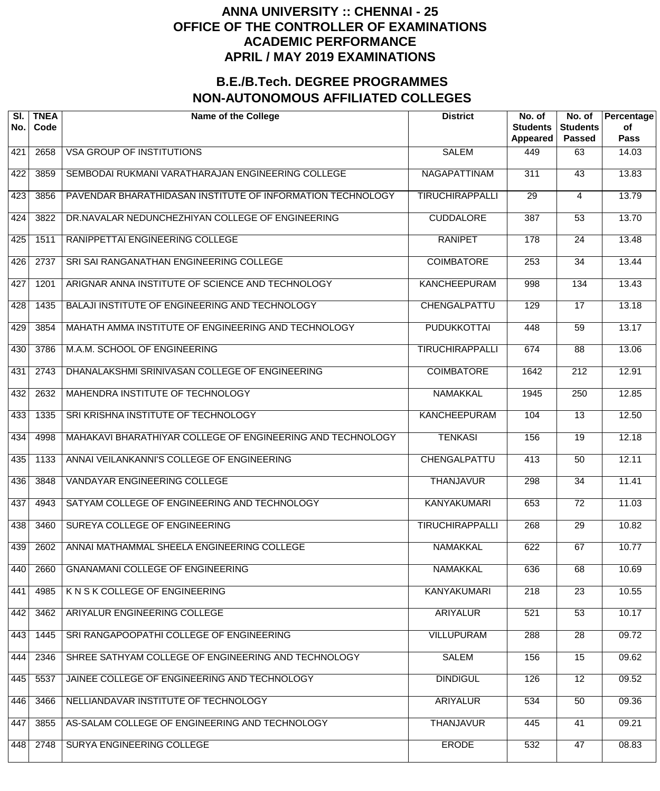| SI.<br>No. | <b>TNEA</b><br>Code | <b>Name of the College</b>                                 | <b>District</b>        | No. of<br><b>Students</b><br>Appeared | No. of<br><b>Students</b><br><b>Passed</b> | Percentage<br>of<br><b>Pass</b> |
|------------|---------------------|------------------------------------------------------------|------------------------|---------------------------------------|--------------------------------------------|---------------------------------|
| 421        | 2658                | <b>VSA GROUP OF INSTITUTIONS</b>                           | <b>SALEM</b>           | 449                                   | 63                                         | 14.03                           |
| 422        | 3859                | SEMBODAI RUKMANI VARATHARAJAN ENGINEERING COLLEGE          | <b>NAGAPATTINAM</b>    | $\overline{311}$                      | 43                                         | 13.83                           |
| 423        | 3856                | PAVENDAR BHARATHIDASAN INSTITUTE OF INFORMATION TECHNOLOGY | <b>TIRUCHIRAPPALLI</b> | 29                                    | 4                                          | 13.79                           |
| 424        | 3822                | DR.NAVALAR NEDUNCHEZHIYAN COLLEGE OF ENGINEERING           | <b>CUDDALORE</b>       | $\overline{387}$                      | $\overline{53}$                            | 13.70                           |
| 425        | 1511                | RANIPPETTAI ENGINEERING COLLEGE                            | <b>RANIPET</b>         | 178                                   | $\overline{24}$                            | 13.48                           |
| 426        | 2737                | SRI SAI RANGANATHAN ENGINEERING COLLEGE                    | <b>COIMBATORE</b>      | 253                                   | $\overline{34}$                            | 13.44                           |
| 427        | 1201                | ARIGNAR ANNA INSTITUTE OF SCIENCE AND TECHNOLOGY           | <b>KANCHEEPURAM</b>    | 998                                   | 134                                        | 13.43                           |
| 428        | 1435                | BALAJI INSTITUTE OF ENGINEERING AND TECHNOLOGY             | CHENGALPATTU           | 129                                   | $\overline{17}$                            | 13.18                           |
| 429        | 3854                | MAHATH AMMA INSTITUTE OF ENGINEERING AND TECHNOLOGY        | <b>PUDUKKOTTAI</b>     | 448                                   | $\overline{59}$                            | 13.17                           |
| 430        | 3786                | M.A.M. SCHOOL OF ENGINEERING                               | <b>TIRUCHIRAPPALLI</b> | 674                                   | $\overline{88}$                            | 13.06                           |
| 431        | 2743                | DHANALAKSHMI SRINIVASAN COLLEGE OF ENGINEERING             | <b>COIMBATORE</b>      | 1642                                  | $\overline{212}$                           | 12.91                           |
| 432        | 2632                | MAHENDRA INSTITUTE OF TECHNOLOGY                           | <b>NAMAKKAL</b>        | 1945                                  | $\overline{250}$                           | 12.85                           |
| 433        | 1335                | SRI KRISHNA INSTITUTE OF TECHNOLOGY                        | <b>KANCHEEPURAM</b>    | 104                                   | $\overline{13}$                            | 12.50                           |
| 434        | 4998                | MAHAKAVI BHARATHIYAR COLLEGE OF ENGINEERING AND TECHNOLOGY | <b>TENKASI</b>         | 156                                   | $\overline{19}$                            | 12.18                           |
| 435        | 1133                | ANNAI VEILANKANNI'S COLLEGE OF ENGINEERING                 | CHENGALPATTU           | 413                                   | 50                                         | 12.11                           |
| 436        | 3848                | VANDAYAR ENGINEERING COLLEGE                               | <b>THANJAVUR</b>       | 298                                   | $\overline{34}$                            | 11.41                           |
| 437        | 4943                | SATYAM COLLEGE OF ENGINEERING AND TECHNOLOGY               | <b>KANYAKUMARI</b>     | 653                                   | $\overline{72}$                            | 11.03                           |
| 438        | 3460                | SUREYA COLLEGE OF ENGINEERING                              | <b>TIRUCHIRAPPALLI</b> | 268                                   | $\overline{29}$                            | 10.82                           |
| 439        | 2602                | ANNAI MATHAMMAL SHEELA ENGINEERING COLLEGE                 | <b>NAMAKKAL</b>        | 622                                   | 67                                         | 10.77                           |
| 440        | 2660                | <b>GNANAMANI COLLEGE OF ENGINEERING</b>                    | <b>NAMAKKAL</b>        | 636                                   | 68                                         | 10.69                           |
| 441        | 4985                | K N S K COLLEGE OF ENGINEERING                             | <b>KANYAKUMARI</b>     | 218                                   | $\overline{23}$                            | 10.55                           |
| 442        | 3462                | ARIYALUR ENGINEERING COLLEGE                               | <b>ARIYALUR</b>        | 521                                   | $\overline{53}$                            | 10.17                           |
| 443        | 1445                | SRI RANGAPOOPATHI COLLEGE OF ENGINEERING                   | <b>VILLUPURAM</b>      | 288                                   | $\overline{28}$                            | 09.72                           |
| 444        | 2346                | SHREE SATHYAM COLLEGE OF ENGINEERING AND TECHNOLOGY        | <b>SALEM</b>           | 156                                   | $\overline{15}$                            | 09.62                           |
| 445        | 5537                | JAINEE COLLEGE OF ENGINEERING AND TECHNOLOGY               | <b>DINDIGUL</b>        | 126                                   | $\overline{12}$                            | 09.52                           |
| 446        | 3466                | NELLIANDAVAR INSTITUTE OF TECHNOLOGY                       | <b>ARIYALUR</b>        | 534                                   | 50                                         | 09.36                           |
| 447        | 3855                | AS-SALAM COLLEGE OF ENGINEERING AND TECHNOLOGY             | <b>THANJAVUR</b>       | 445                                   | 41                                         | 09.21                           |
| 448        | 2748                | SURYA ENGINEERING COLLEGE                                  | <b>ERODE</b>           | 532                                   | 47                                         | 08.83                           |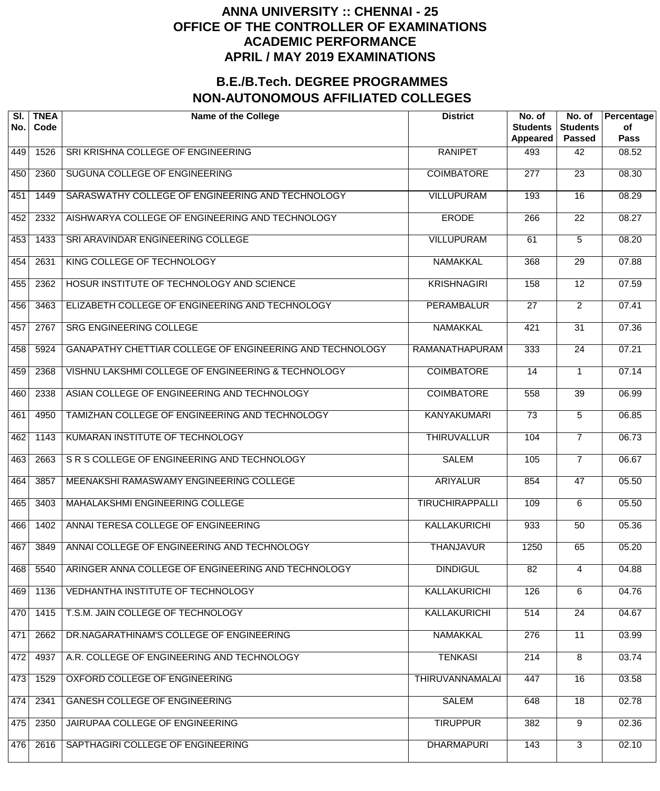| SRI KRISHNA COLLEGE OF ENGINEERING<br><b>RANIPET</b><br>449<br>1526<br>493<br>42<br><b>COIMBATORE</b><br>450<br>SUGUNA COLLEGE OF ENGINEERING<br>$\overline{277}$<br>$\overline{23}$<br>2360<br><b>VILLUPURAM</b><br>SARASWATHY COLLEGE OF ENGINEERING AND TECHNOLOGY<br>193<br>$\overline{16}$<br>451<br>1449<br><b>ERODE</b><br>$\overline{22}$<br>452<br>AISHWARYA COLLEGE OF ENGINEERING AND TECHNOLOGY<br>266<br>2332<br><b>VILLUPURAM</b><br>453<br>SRI ARAVINDAR ENGINEERING COLLEGE<br>5<br>1433<br>61<br><b>NAMAKKAL</b><br>454<br>KING COLLEGE OF TECHNOLOGY<br>368<br>$\overline{29}$<br>2631<br><b>KRISHNAGIRI</b><br>455<br>HOSUR INSTITUTE OF TECHNOLOGY AND SCIENCE<br>158<br>$\overline{12}$<br>2362<br><b>PERAMBALUR</b><br>$\overline{2}$<br>456<br>ELIZABETH COLLEGE OF ENGINEERING AND TECHNOLOGY<br>$\overline{27}$<br>3463<br><b>NAMAKKAL</b><br>2767<br><b>SRG ENGINEERING COLLEGE</b><br>$\overline{31}$<br>457<br>421<br><b>RAMANATHAPURAM</b><br>458<br>GANAPATHY CHETTIAR COLLEGE OF ENGINEERING AND TECHNOLOGY<br>333<br>$\overline{24}$<br>5924 | Percentage<br><b>Students</b><br>of<br><b>Pass</b><br><b>Passed</b> |
|------------------------------------------------------------------------------------------------------------------------------------------------------------------------------------------------------------------------------------------------------------------------------------------------------------------------------------------------------------------------------------------------------------------------------------------------------------------------------------------------------------------------------------------------------------------------------------------------------------------------------------------------------------------------------------------------------------------------------------------------------------------------------------------------------------------------------------------------------------------------------------------------------------------------------------------------------------------------------------------------------------------------------------------------------------------------------|---------------------------------------------------------------------|
|                                                                                                                                                                                                                                                                                                                                                                                                                                                                                                                                                                                                                                                                                                                                                                                                                                                                                                                                                                                                                                                                              | 08.52                                                               |
|                                                                                                                                                                                                                                                                                                                                                                                                                                                                                                                                                                                                                                                                                                                                                                                                                                                                                                                                                                                                                                                                              | 08.30                                                               |
|                                                                                                                                                                                                                                                                                                                                                                                                                                                                                                                                                                                                                                                                                                                                                                                                                                                                                                                                                                                                                                                                              | 08.29                                                               |
|                                                                                                                                                                                                                                                                                                                                                                                                                                                                                                                                                                                                                                                                                                                                                                                                                                                                                                                                                                                                                                                                              | 08.27                                                               |
|                                                                                                                                                                                                                                                                                                                                                                                                                                                                                                                                                                                                                                                                                                                                                                                                                                                                                                                                                                                                                                                                              | 08.20                                                               |
|                                                                                                                                                                                                                                                                                                                                                                                                                                                                                                                                                                                                                                                                                                                                                                                                                                                                                                                                                                                                                                                                              | 07.88                                                               |
|                                                                                                                                                                                                                                                                                                                                                                                                                                                                                                                                                                                                                                                                                                                                                                                                                                                                                                                                                                                                                                                                              | 07.59                                                               |
|                                                                                                                                                                                                                                                                                                                                                                                                                                                                                                                                                                                                                                                                                                                                                                                                                                                                                                                                                                                                                                                                              | 07.41                                                               |
|                                                                                                                                                                                                                                                                                                                                                                                                                                                                                                                                                                                                                                                                                                                                                                                                                                                                                                                                                                                                                                                                              | 07.36                                                               |
|                                                                                                                                                                                                                                                                                                                                                                                                                                                                                                                                                                                                                                                                                                                                                                                                                                                                                                                                                                                                                                                                              | 07.21                                                               |
| <b>COIMBATORE</b><br>459<br>VISHNU LAKSHMI COLLEGE OF ENGINEERING & TECHNOLOGY<br>2368<br>14<br>1                                                                                                                                                                                                                                                                                                                                                                                                                                                                                                                                                                                                                                                                                                                                                                                                                                                                                                                                                                            | 07.14                                                               |
| <b>COIMBATORE</b><br>460<br>ASIAN COLLEGE OF ENGINEERING AND TECHNOLOGY<br>$\overline{39}$<br>2338<br>558                                                                                                                                                                                                                                                                                                                                                                                                                                                                                                                                                                                                                                                                                                                                                                                                                                                                                                                                                                    | 06.99                                                               |
| TAMIZHAN COLLEGE OF ENGINEERING AND TECHNOLOGY<br><b>KANYAKUMARI</b><br>$\overline{73}$<br>5<br>461<br>4950                                                                                                                                                                                                                                                                                                                                                                                                                                                                                                                                                                                                                                                                                                                                                                                                                                                                                                                                                                  | 06.85                                                               |
| <b>THIRUVALLUR</b><br>462<br>KUMARAN INSTITUTE OF TECHNOLOGY<br>104<br>$\overline{7}$<br>1143                                                                                                                                                                                                                                                                                                                                                                                                                                                                                                                                                                                                                                                                                                                                                                                                                                                                                                                                                                                | 06.73                                                               |
| 463<br>SR S COLLEGE OF ENGINEERING AND TECHNOLOGY<br><b>SALEM</b><br>105<br>$\overline{7}$<br>2663                                                                                                                                                                                                                                                                                                                                                                                                                                                                                                                                                                                                                                                                                                                                                                                                                                                                                                                                                                           | 06.67                                                               |
| 464<br>MEENAKSHI RAMASWAMY ENGINEERING COLLEGE<br><b>ARIYALUR</b><br>854<br>47<br>3857                                                                                                                                                                                                                                                                                                                                                                                                                                                                                                                                                                                                                                                                                                                                                                                                                                                                                                                                                                                       | 05.50                                                               |
| 465<br><b>MAHALAKSHMI ENGINEERING COLLEGE</b><br><b>TIRUCHIRAPPALLI</b><br>109<br>$\overline{6}$<br>3403                                                                                                                                                                                                                                                                                                                                                                                                                                                                                                                                                                                                                                                                                                                                                                                                                                                                                                                                                                     | 05.50                                                               |
| ANNAI TERESA COLLEGE OF ENGINEERING<br><b>KALLAKURICHI</b><br>466<br>1402<br>933<br>$\overline{50}$                                                                                                                                                                                                                                                                                                                                                                                                                                                                                                                                                                                                                                                                                                                                                                                                                                                                                                                                                                          | 05.36                                                               |
| ANNAI COLLEGE OF ENGINEERING AND TECHNOLOGY<br><b>THANJAVUR</b><br>1250<br>65<br>467<br>3849                                                                                                                                                                                                                                                                                                                                                                                                                                                                                                                                                                                                                                                                                                                                                                                                                                                                                                                                                                                 | 05.20                                                               |
| ARINGER ANNA COLLEGE OF ENGINEERING AND TECHNOLOGY<br><b>DINDIGUL</b><br>468<br>5540<br>82<br>4                                                                                                                                                                                                                                                                                                                                                                                                                                                                                                                                                                                                                                                                                                                                                                                                                                                                                                                                                                              | 04.88                                                               |
| <b>VEDHANTHA INSTITUTE OF TECHNOLOGY</b><br><b>KALLAKURICHI</b><br>$\overline{6}$<br>469<br>126<br>1136                                                                                                                                                                                                                                                                                                                                                                                                                                                                                                                                                                                                                                                                                                                                                                                                                                                                                                                                                                      | 04.76                                                               |
| T.S.M. JAIN COLLEGE OF TECHNOLOGY<br><b>KALLAKURICHI</b><br>$\overline{24}$<br>470<br>514<br>1415                                                                                                                                                                                                                                                                                                                                                                                                                                                                                                                                                                                                                                                                                                                                                                                                                                                                                                                                                                            | 04.67                                                               |
| DR.NAGARATHINAM'S COLLEGE OF ENGINEERING<br><b>NAMAKKAL</b><br>$\overline{11}$<br>471<br>276<br>2662                                                                                                                                                                                                                                                                                                                                                                                                                                                                                                                                                                                                                                                                                                                                                                                                                                                                                                                                                                         | 03.99                                                               |
| A.R. COLLEGE OF ENGINEERING AND TECHNOLOGY<br><b>TENKASI</b><br>$\overline{8}$<br>472<br>214<br>4937                                                                                                                                                                                                                                                                                                                                                                                                                                                                                                                                                                                                                                                                                                                                                                                                                                                                                                                                                                         | 03.74                                                               |
| OXFORD COLLEGE OF ENGINEERING<br><b>THIRUVANNAMALAI</b><br>$\overline{16}$<br>473<br>1529<br>447                                                                                                                                                                                                                                                                                                                                                                                                                                                                                                                                                                                                                                                                                                                                                                                                                                                                                                                                                                             | 03.58                                                               |
| <b>GANESH COLLEGE OF ENGINEERING</b><br><b>SALEM</b><br>$\overline{18}$<br>474<br>2341<br>648                                                                                                                                                                                                                                                                                                                                                                                                                                                                                                                                                                                                                                                                                                                                                                                                                                                                                                                                                                                | 02.78                                                               |
| $\overline{9}$<br>JAIRUPAA COLLEGE OF ENGINEERING<br><b>TIRUPPUR</b><br>475<br>2350<br>382                                                                                                                                                                                                                                                                                                                                                                                                                                                                                                                                                                                                                                                                                                                                                                                                                                                                                                                                                                                   | 02.36                                                               |
| $\overline{3}$<br><b>DHARMAPURI</b><br>476<br>SAPTHAGIRI COLLEGE OF ENGINEERING<br>143<br>2616                                                                                                                                                                                                                                                                                                                                                                                                                                                                                                                                                                                                                                                                                                                                                                                                                                                                                                                                                                               | 02.10                                                               |